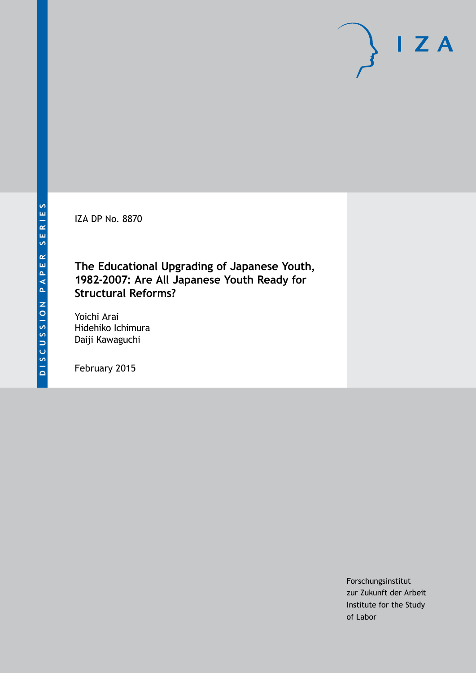IZA DP No. 8870

## **The Educational Upgrading of Japanese Youth, 1982-2007: Are All Japanese Youth Ready for Structural Reforms?**

Yoichi Arai Hidehiko Ichimura Daiji Kawaguchi

February 2015

Forschungsinstitut zur Zukunft der Arbeit Institute for the Study of Labor

 $I Z A$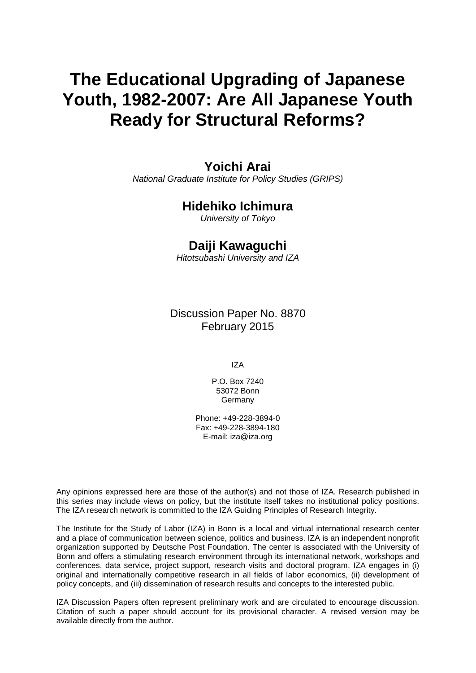## **The Educational Upgrading of Japanese Youth, 1982-2007: Are All Japanese Youth Ready for Structural Reforms?**

### **Yoichi Arai**

*National Graduate Institute for Policy Studies (GRIPS)*

## **Hidehiko Ichimura**

*University of Tokyo*

### **Daiji Kawaguchi**

*Hitotsubashi University and IZA*

Discussion Paper No. 8870 February 2015

IZA

P.O. Box 7240 53072 Bonn Germany

Phone: +49-228-3894-0 Fax: +49-228-3894-180 E-mail: [iza@iza.org](mailto:iza@iza.org)

Any opinions expressed here are those of the author(s) and not those of IZA. Research published in this series may include views on policy, but the institute itself takes no institutional policy positions. The IZA research network is committed to the IZA Guiding Principles of Research Integrity.

The Institute for the Study of Labor (IZA) in Bonn is a local and virtual international research center and a place of communication between science, politics and business. IZA is an independent nonprofit organization supported by Deutsche Post Foundation. The center is associated with the University of Bonn and offers a stimulating research environment through its international network, workshops and conferences, data service, project support, research visits and doctoral program. IZA engages in (i) original and internationally competitive research in all fields of labor economics, (ii) development of policy concepts, and (iii) dissemination of research results and concepts to the interested public.

<span id="page-1-0"></span>IZA Discussion Papers often represent preliminary work and are circulated to encourage discussion. Citation of such a paper should account for its provisional character. A revised version may be available directly from the author.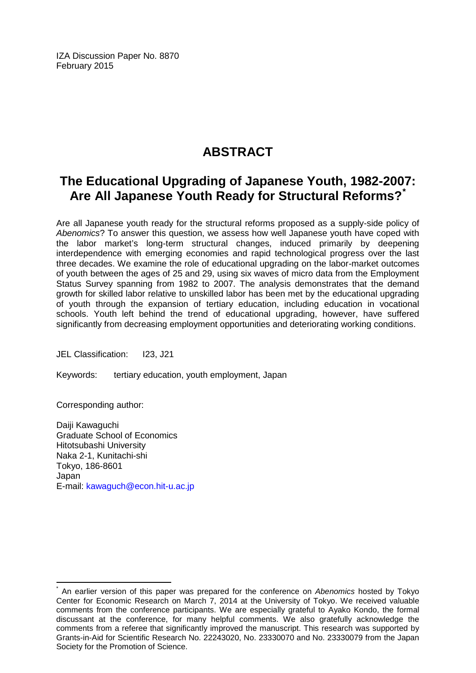IZA Discussion Paper No. 8870 February 2015

## **ABSTRACT**

## **The Educational Upgrading of Japanese Youth, 1982-2007: Are All Japanese Youth Ready for Structural Reforms?[\\*](#page-1-0)**

Are all Japanese youth ready for the structural reforms proposed as a supply-side policy of *Abenomics*? To answer this question, we assess how well Japanese youth have coped with the labor market's long-term structural changes, induced primarily by deepening interdependence with emerging economies and rapid technological progress over the last three decades. We examine the role of educational upgrading on the labor-market outcomes of youth between the ages of 25 and 29, using six waves of micro data from the Employment Status Survey spanning from 1982 to 2007. The analysis demonstrates that the demand growth for skilled labor relative to unskilled labor has been met by the educational upgrading of youth through the expansion of tertiary education, including education in vocational schools. Youth left behind the trend of educational upgrading, however, have suffered significantly from decreasing employment opportunities and deteriorating working conditions.

JEL Classification: I23, J21

Keywords: tertiary education, youth employment, Japan

Corresponding author:

Daiji Kawaguchi Graduate School of Economics Hitotsubashi University Naka 2-1, Kunitachi-shi Tokyo, 186-8601 Japan E-mail: [kawaguch@econ.hit-u.ac.jp](mailto:kawaguch@econ.hit-u.ac.jp)

\* An earlier version of this paper was prepared for the conference on *Abenomics* hosted by Tokyo Center for Economic Research on March 7, 2014 at the University of Tokyo. We received valuable comments from the conference participants. We are especially grateful to Ayako Kondo, the formal discussant at the conference, for many helpful comments. We also gratefully acknowledge the comments from a referee that significantly improved the manuscript. This research was supported by Grants-in-Aid for Scientific Research No. 22243020, No. 23330070 and No. 23330079 from the Japan Society for the Promotion of Science.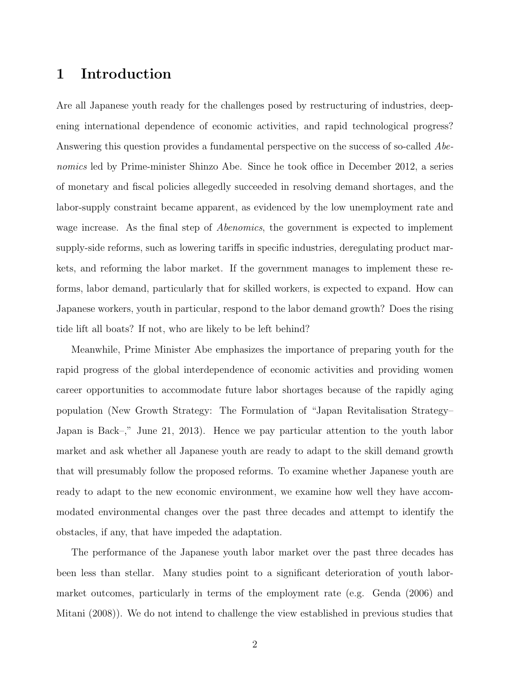## 1 Introduction

Are all Japanese youth ready for the challenges posed by restructuring of industries, deepening international dependence of economic activities, and rapid technological progress? Answering this question provides a fundamental perspective on the success of so-called Abenomics led by Prime-minister Shinzo Abe. Since he took office in December 2012, a series of monetary and fiscal policies allegedly succeeded in resolving demand shortages, and the labor-supply constraint became apparent, as evidenced by the low unemployment rate and wage increase. As the final step of *Abenomics*, the government is expected to implement supply-side reforms, such as lowering tariffs in specific industries, deregulating product markets, and reforming the labor market. If the government manages to implement these reforms, labor demand, particularly that for skilled workers, is expected to expand. How can Japanese workers, youth in particular, respond to the labor demand growth? Does the rising tide lift all boats? If not, who are likely to be left behind?

Meanwhile, Prime Minister Abe emphasizes the importance of preparing youth for the rapid progress of the global interdependence of economic activities and providing women career opportunities to accommodate future labor shortages because of the rapidly aging population (New Growth Strategy: The Formulation of "Japan Revitalisation Strategy– Japan is Back–," June 21, 2013). Hence we pay particular attention to the youth labor market and ask whether all Japanese youth are ready to adapt to the skill demand growth that will presumably follow the proposed reforms. To examine whether Japanese youth are ready to adapt to the new economic environment, we examine how well they have accommodated environmental changes over the past three decades and attempt to identify the obstacles, if any, that have impeded the adaptation.

The performance of the Japanese youth labor market over the past three decades has been less than stellar. Many studies point to a significant deterioration of youth labormarket outcomes, particularly in terms of the employment rate (e.g. Genda (2006) and Mitani (2008)). We do not intend to challenge the view established in previous studies that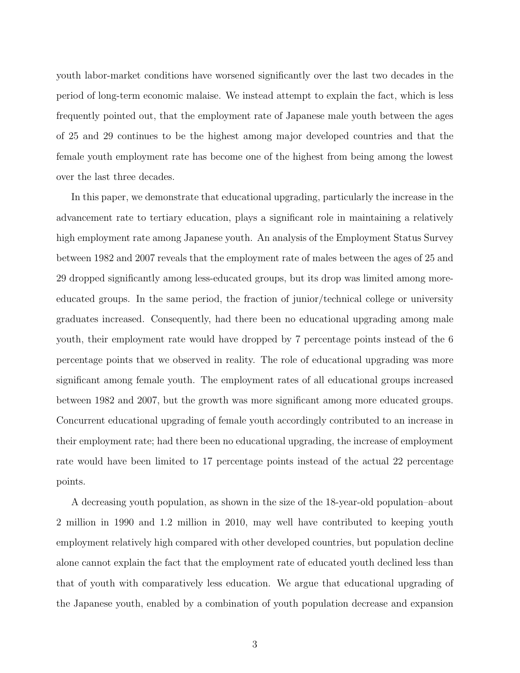youth labor-market conditions have worsened significantly over the last two decades in the period of long-term economic malaise. We instead attempt to explain the fact, which is less frequently pointed out, that the employment rate of Japanese male youth between the ages of 25 and 29 continues to be the highest among major developed countries and that the female youth employment rate has become one of the highest from being among the lowest over the last three decades.

In this paper, we demonstrate that educational upgrading, particularly the increase in the advancement rate to tertiary education, plays a significant role in maintaining a relatively high employment rate among Japanese youth. An analysis of the Employment Status Survey between 1982 and 2007 reveals that the employment rate of males between the ages of 25 and 29 dropped significantly among less-educated groups, but its drop was limited among moreeducated groups. In the same period, the fraction of junior/technical college or university graduates increased. Consequently, had there been no educational upgrading among male youth, their employment rate would have dropped by 7 percentage points instead of the 6 percentage points that we observed in reality. The role of educational upgrading was more significant among female youth. The employment rates of all educational groups increased between 1982 and 2007, but the growth was more significant among more educated groups. Concurrent educational upgrading of female youth accordingly contributed to an increase in their employment rate; had there been no educational upgrading, the increase of employment rate would have been limited to 17 percentage points instead of the actual 22 percentage points.

A decreasing youth population, as shown in the size of the 18-year-old population–about 2 million in 1990 and 1.2 million in 2010, may well have contributed to keeping youth employment relatively high compared with other developed countries, but population decline alone cannot explain the fact that the employment rate of educated youth declined less than that of youth with comparatively less education. We argue that educational upgrading of the Japanese youth, enabled by a combination of youth population decrease and expansion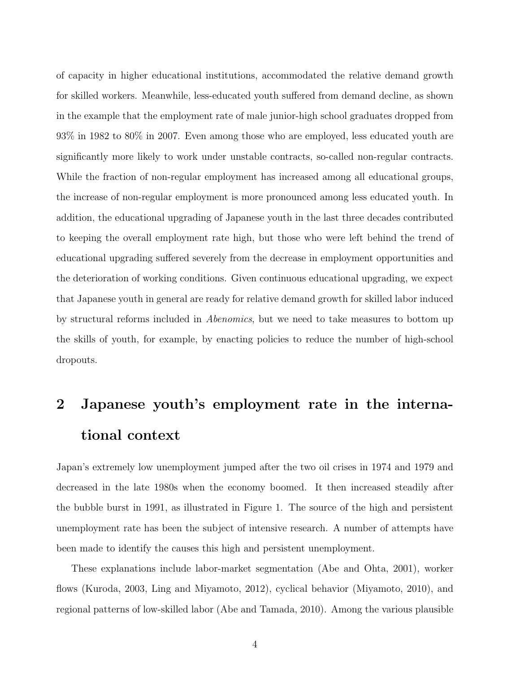of capacity in higher educational institutions, accommodated the relative demand growth for skilled workers. Meanwhile, less-educated youth suffered from demand decline, as shown in the example that the employment rate of male junior-high school graduates dropped from 93% in 1982 to 80% in 2007. Even among those who are employed, less educated youth are significantly more likely to work under unstable contracts, so-called non-regular contracts. While the fraction of non-regular employment has increased among all educational groups, the increase of non-regular employment is more pronounced among less educated youth. In addition, the educational upgrading of Japanese youth in the last three decades contributed to keeping the overall employment rate high, but those who were left behind the trend of educational upgrading suffered severely from the decrease in employment opportunities and the deterioration of working conditions. Given continuous educational upgrading, we expect that Japanese youth in general are ready for relative demand growth for skilled labor induced by structural reforms included in Abenomics, but we need to take measures to bottom up the skills of youth, for example, by enacting policies to reduce the number of high-school dropouts.

# 2 Japanese youth's employment rate in the international context

Japan's extremely low unemployment jumped after the two oil crises in 1974 and 1979 and decreased in the late 1980s when the economy boomed. It then increased steadily after the bubble burst in 1991, as illustrated in Figure 1. The source of the high and persistent unemployment rate has been the subject of intensive research. A number of attempts have been made to identify the causes this high and persistent unemployment.

These explanations include labor-market segmentation (Abe and Ohta, 2001), worker flows (Kuroda, 2003, Ling and Miyamoto, 2012), cyclical behavior (Miyamoto, 2010), and regional patterns of low-skilled labor (Abe and Tamada, 2010). Among the various plausible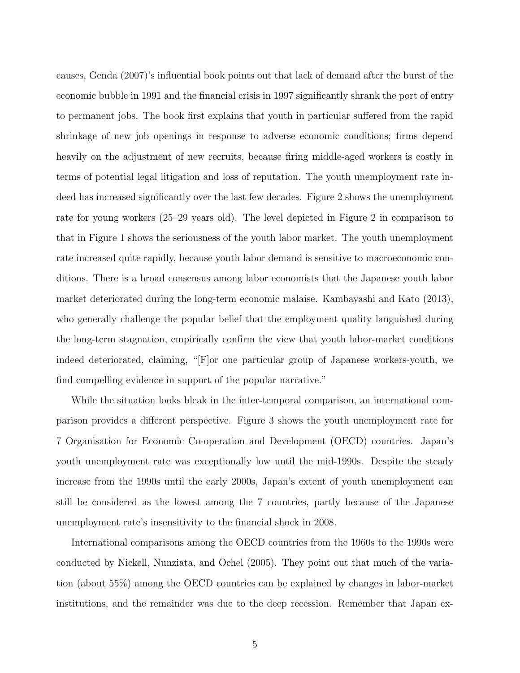causes, Genda (2007)'s influential book points out that lack of demand after the burst of the economic bubble in 1991 and the financial crisis in 1997 significantly shrank the port of entry to permanent jobs. The book first explains that youth in particular suffered from the rapid shrinkage of new job openings in response to adverse economic conditions; firms depend heavily on the adjustment of new recruits, because firing middle-aged workers is costly in terms of potential legal litigation and loss of reputation. The youth unemployment rate indeed has increased significantly over the last few decades. Figure 2 shows the unemployment rate for young workers (25–29 years old). The level depicted in Figure 2 in comparison to that in Figure 1 shows the seriousness of the youth labor market. The youth unemployment rate increased quite rapidly, because youth labor demand is sensitive to macroeconomic conditions. There is a broad consensus among labor economists that the Japanese youth labor market deteriorated during the long-term economic malaise. Kambayashi and Kato (2013), who generally challenge the popular belief that the employment quality languished during the long-term stagnation, empirically confirm the view that youth labor-market conditions indeed deteriorated, claiming, "[F]or one particular group of Japanese workers-youth, we find compelling evidence in support of the popular narrative."

While the situation looks bleak in the inter-temporal comparison, an international comparison provides a different perspective. Figure 3 shows the youth unemployment rate for 7 Organisation for Economic Co-operation and Development (OECD) countries. Japan's youth unemployment rate was exceptionally low until the mid-1990s. Despite the steady increase from the 1990s until the early 2000s, Japan's extent of youth unemployment can still be considered as the lowest among the 7 countries, partly because of the Japanese unemployment rate's insensitivity to the financial shock in 2008.

International comparisons among the OECD countries from the 1960s to the 1990s were conducted by Nickell, Nunziata, and Ochel (2005). They point out that much of the variation (about 55%) among the OECD countries can be explained by changes in labor-market institutions, and the remainder was due to the deep recession. Remember that Japan ex-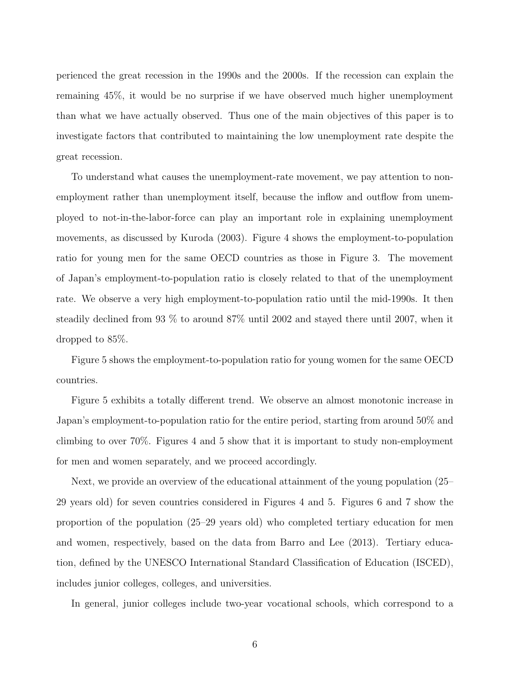perienced the great recession in the 1990s and the 2000s. If the recession can explain the remaining 45%, it would be no surprise if we have observed much higher unemployment than what we have actually observed. Thus one of the main objectives of this paper is to investigate factors that contributed to maintaining the low unemployment rate despite the great recession.

To understand what causes the unemployment-rate movement, we pay attention to nonemployment rather than unemployment itself, because the inflow and outflow from unemployed to not-in-the-labor-force can play an important role in explaining unemployment movements, as discussed by Kuroda (2003). Figure 4 shows the employment-to-population ratio for young men for the same OECD countries as those in Figure 3. The movement of Japan's employment-to-population ratio is closely related to that of the unemployment rate. We observe a very high employment-to-population ratio until the mid-1990s. It then steadily declined from 93 % to around 87% until 2002 and stayed there until 2007, when it dropped to 85%.

Figure 5 shows the employment-to-population ratio for young women for the same OECD countries.

Figure 5 exhibits a totally different trend. We observe an almost monotonic increase in Japan's employment-to-population ratio for the entire period, starting from around 50% and climbing to over 70%. Figures 4 and 5 show that it is important to study non-employment for men and women separately, and we proceed accordingly.

Next, we provide an overview of the educational attainment of the young population (25– 29 years old) for seven countries considered in Figures 4 and 5. Figures 6 and 7 show the proportion of the population (25–29 years old) who completed tertiary education for men and women, respectively, based on the data from Barro and Lee (2013). Tertiary education, defined by the UNESCO International Standard Classification of Education (ISCED), includes junior colleges, colleges, and universities.

In general, junior colleges include two-year vocational schools, which correspond to a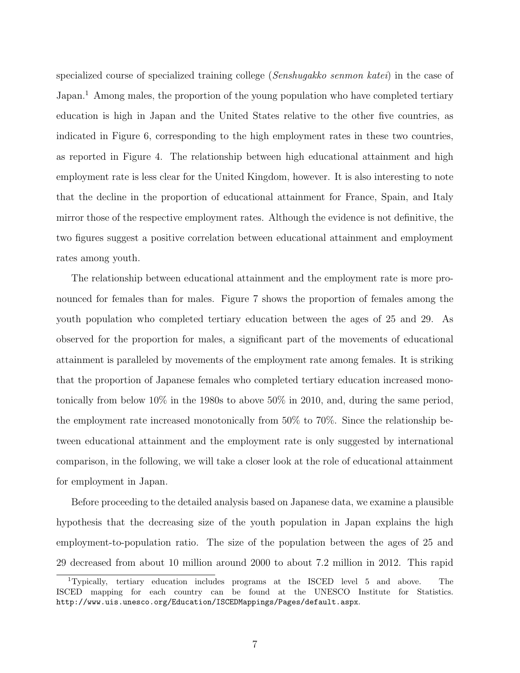specialized course of specialized training college (Senshugakko senmon katei) in the case of Japan.<sup>1</sup> Among males, the proportion of the young population who have completed tertiary education is high in Japan and the United States relative to the other five countries, as indicated in Figure 6, corresponding to the high employment rates in these two countries, as reported in Figure 4. The relationship between high educational attainment and high employment rate is less clear for the United Kingdom, however. It is also interesting to note that the decline in the proportion of educational attainment for France, Spain, and Italy mirror those of the respective employment rates. Although the evidence is not definitive, the two figures suggest a positive correlation between educational attainment and employment rates among youth.

The relationship between educational attainment and the employment rate is more pronounced for females than for males. Figure 7 shows the proportion of females among the youth population who completed tertiary education between the ages of 25 and 29. As observed for the proportion for males, a significant part of the movements of educational attainment is paralleled by movements of the employment rate among females. It is striking that the proportion of Japanese females who completed tertiary education increased monotonically from below 10% in the 1980s to above 50% in 2010, and, during the same period, the employment rate increased monotonically from 50% to 70%. Since the relationship between educational attainment and the employment rate is only suggested by international comparison, in the following, we will take a closer look at the role of educational attainment for employment in Japan.

Before proceeding to the detailed analysis based on Japanese data, we examine a plausible hypothesis that the decreasing size of the youth population in Japan explains the high employment-to-population ratio. The size of the population between the ages of 25 and 29 decreased from about 10 million around 2000 to about 7.2 million in 2012. This rapid

<sup>1</sup>Typically, tertiary education includes programs at the ISCED level 5 and above. The ISCED mapping for each country can be found at the UNESCO Institute for Statistics. http://www.uis.unesco.org/Education/ISCEDMappings/Pages/default.aspx.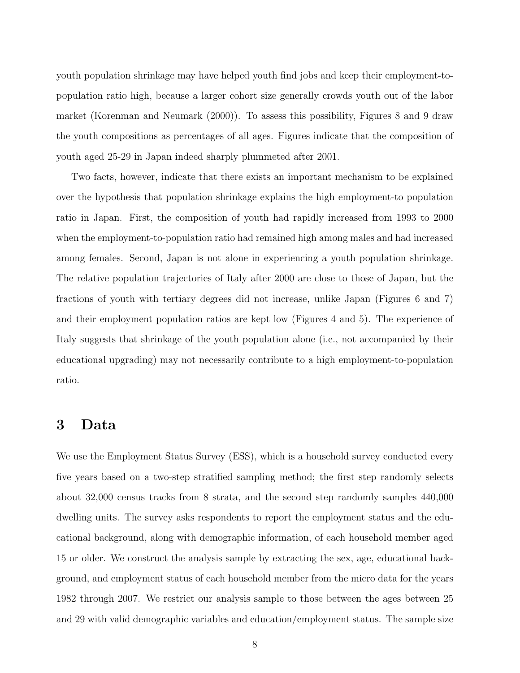youth population shrinkage may have helped youth find jobs and keep their employment-topopulation ratio high, because a larger cohort size generally crowds youth out of the labor market (Korenman and Neumark (2000)). To assess this possibility, Figures 8 and 9 draw the youth compositions as percentages of all ages. Figures indicate that the composition of youth aged 25-29 in Japan indeed sharply plummeted after 2001.

Two facts, however, indicate that there exists an important mechanism to be explained over the hypothesis that population shrinkage explains the high employment-to population ratio in Japan. First, the composition of youth had rapidly increased from 1993 to 2000 when the employment-to-population ratio had remained high among males and had increased among females. Second, Japan is not alone in experiencing a youth population shrinkage. The relative population trajectories of Italy after 2000 are close to those of Japan, but the fractions of youth with tertiary degrees did not increase, unlike Japan (Figures 6 and 7) and their employment population ratios are kept low (Figures 4 and 5). The experience of Italy suggests that shrinkage of the youth population alone (i.e., not accompanied by their educational upgrading) may not necessarily contribute to a high employment-to-population ratio.

## 3 Data

We use the Employment Status Survey (ESS), which is a household survey conducted every five years based on a two-step stratified sampling method; the first step randomly selects about 32,000 census tracks from 8 strata, and the second step randomly samples 440,000 dwelling units. The survey asks respondents to report the employment status and the educational background, along with demographic information, of each household member aged 15 or older. We construct the analysis sample by extracting the sex, age, educational background, and employment status of each household member from the micro data for the years 1982 through 2007. We restrict our analysis sample to those between the ages between 25 and 29 with valid demographic variables and education/employment status. The sample size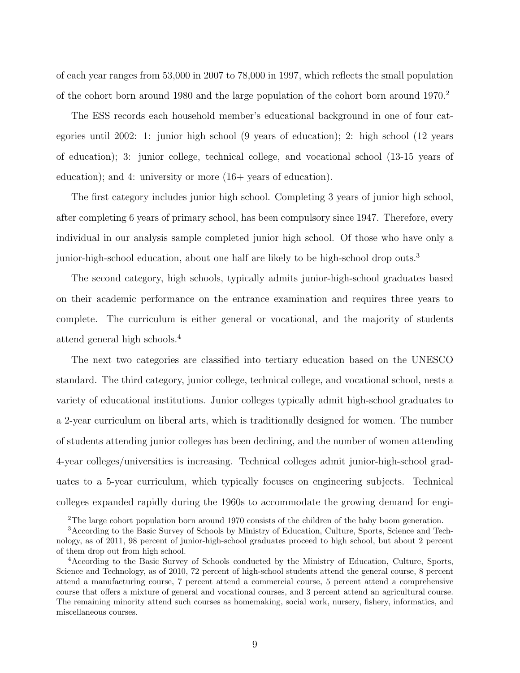of each year ranges from 53,000 in 2007 to 78,000 in 1997, which reflects the small population of the cohort born around 1980 and the large population of the cohort born around 1970.<sup>2</sup>

The ESS records each household member's educational background in one of four categories until 2002: 1: junior high school (9 years of education); 2: high school (12 years of education); 3: junior college, technical college, and vocational school (13-15 years of education); and 4: university or more  $(16+$  years of education).

The first category includes junior high school. Completing 3 years of junior high school, after completing 6 years of primary school, has been compulsory since 1947. Therefore, every individual in our analysis sample completed junior high school. Of those who have only a junior-high-school education, about one half are likely to be high-school drop outs.<sup>3</sup>

The second category, high schools, typically admits junior-high-school graduates based on their academic performance on the entrance examination and requires three years to complete. The curriculum is either general or vocational, and the majority of students attend general high schools.<sup>4</sup>

The next two categories are classified into tertiary education based on the UNESCO standard. The third category, junior college, technical college, and vocational school, nests a variety of educational institutions. Junior colleges typically admit high-school graduates to a 2-year curriculum on liberal arts, which is traditionally designed for women. The number of students attending junior colleges has been declining, and the number of women attending 4-year colleges/universities is increasing. Technical colleges admit junior-high-school graduates to a 5-year curriculum, which typically focuses on engineering subjects. Technical colleges expanded rapidly during the 1960s to accommodate the growing demand for engi-

<sup>&</sup>lt;sup>2</sup>The large cohort population born around 1970 consists of the children of the baby boom generation.

<sup>3</sup>According to the Basic Survey of Schools by Ministry of Education, Culture, Sports, Science and Technology, as of 2011, 98 percent of junior-high-school graduates proceed to high school, but about 2 percent of them drop out from high school.

<sup>4</sup>According to the Basic Survey of Schools conducted by the Ministry of Education, Culture, Sports, Science and Technology, as of 2010, 72 percent of high-school students attend the general course, 8 percent attend a manufacturing course, 7 percent attend a commercial course, 5 percent attend a comprehensive course that offers a mixture of general and vocational courses, and 3 percent attend an agricultural course. The remaining minority attend such courses as homemaking, social work, nursery, fishery, informatics, and miscellaneous courses.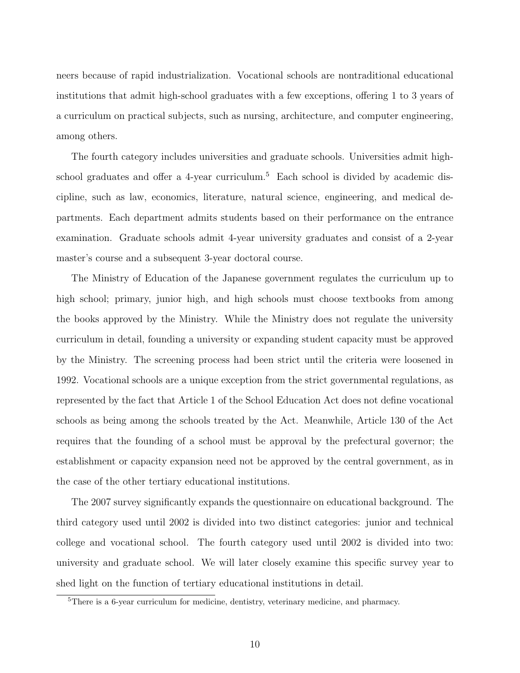neers because of rapid industrialization. Vocational schools are nontraditional educational institutions that admit high-school graduates with a few exceptions, offering 1 to 3 years of a curriculum on practical subjects, such as nursing, architecture, and computer engineering, among others.

The fourth category includes universities and graduate schools. Universities admit highschool graduates and offer a 4-year curriculum.<sup>5</sup> Each school is divided by academic discipline, such as law, economics, literature, natural science, engineering, and medical departments. Each department admits students based on their performance on the entrance examination. Graduate schools admit 4-year university graduates and consist of a 2-year master's course and a subsequent 3-year doctoral course.

The Ministry of Education of the Japanese government regulates the curriculum up to high school; primary, junior high, and high schools must choose textbooks from among the books approved by the Ministry. While the Ministry does not regulate the university curriculum in detail, founding a university or expanding student capacity must be approved by the Ministry. The screening process had been strict until the criteria were loosened in 1992. Vocational schools are a unique exception from the strict governmental regulations, as represented by the fact that Article 1 of the School Education Act does not define vocational schools as being among the schools treated by the Act. Meanwhile, Article 130 of the Act requires that the founding of a school must be approval by the prefectural governor; the establishment or capacity expansion need not be approved by the central government, as in the case of the other tertiary educational institutions.

The 2007 survey significantly expands the questionnaire on educational background. The third category used until 2002 is divided into two distinct categories: junior and technical college and vocational school. The fourth category used until 2002 is divided into two: university and graduate school. We will later closely examine this specific survey year to shed light on the function of tertiary educational institutions in detail.

<sup>5</sup>There is a 6-year curriculum for medicine, dentistry, veterinary medicine, and pharmacy.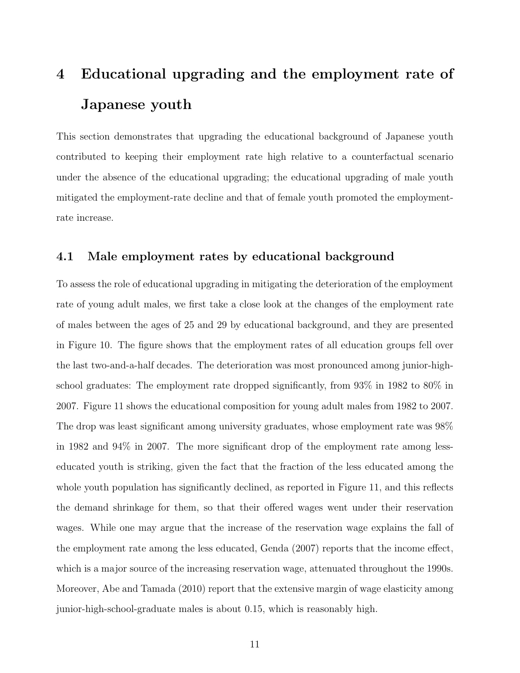# 4 Educational upgrading and the employment rate of Japanese youth

This section demonstrates that upgrading the educational background of Japanese youth contributed to keeping their employment rate high relative to a counterfactual scenario under the absence of the educational upgrading; the educational upgrading of male youth mitigated the employment-rate decline and that of female youth promoted the employmentrate increase.

#### 4.1 Male employment rates by educational background

To assess the role of educational upgrading in mitigating the deterioration of the employment rate of young adult males, we first take a close look at the changes of the employment rate of males between the ages of 25 and 29 by educational background, and they are presented in Figure 10. The figure shows that the employment rates of all education groups fell over the last two-and-a-half decades. The deterioration was most pronounced among junior-highschool graduates: The employment rate dropped significantly, from 93% in 1982 to 80% in 2007. Figure 11 shows the educational composition for young adult males from 1982 to 2007. The drop was least significant among university graduates, whose employment rate was 98% in 1982 and 94% in 2007. The more significant drop of the employment rate among lesseducated youth is striking, given the fact that the fraction of the less educated among the whole youth population has significantly declined, as reported in Figure 11, and this reflects the demand shrinkage for them, so that their offered wages went under their reservation wages. While one may argue that the increase of the reservation wage explains the fall of the employment rate among the less educated, Genda (2007) reports that the income effect, which is a major source of the increasing reservation wage, attenuated throughout the 1990s. Moreover, Abe and Tamada (2010) report that the extensive margin of wage elasticity among junior-high-school-graduate males is about 0.15, which is reasonably high.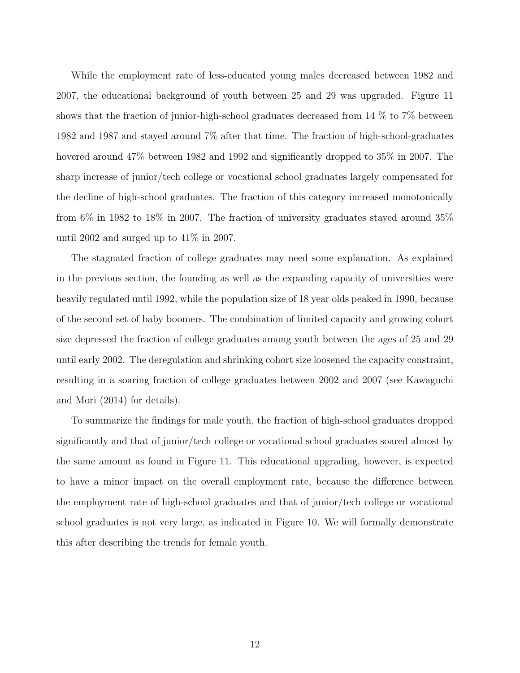While the employment rate of less-educated young males decreased between 1982 and 2007, the educational background of youth between 25 and 29 was upgraded. Figure 11 shows that the fraction of junior-high-school graduates decreased from 14 % to 7% between 1982 and 1987 and stayed around 7% after that time. The fraction of high-school-graduates hovered around 47% between 1982 and 1992 and significantly dropped to 35% in 2007. The sharp increase of junior/tech college or vocational school graduates largely compensated for the decline of high-school graduates. The fraction of this category increased monotonically from 6% in 1982 to 18% in 2007. The fraction of university graduates stayed around 35% until 2002 and surged up to 41% in 2007.

The stagnated fraction of college graduates may need some explanation. As explained in the previous section, the founding as well as the expanding capacity of universities were heavily regulated until 1992, while the population size of 18 year olds peaked in 1990, because of the second set of baby boomers. The combination of limited capacity and growing cohort size depressed the fraction of college graduates among youth between the ages of 25 and 29 until early 2002. The deregulation and shrinking cohort size loosened the capacity constraint, resulting in a soaring fraction of college graduates between 2002 and 2007 (see Kawaguchi and Mori (2014) for details).

To summarize the findings for male youth, the fraction of high-school graduates dropped significantly and that of junior/tech college or vocational school graduates soared almost by the same amount as found in Figure 11. This educational upgrading, however, is expected to have a minor impact on the overall employment rate, because the difference between the employment rate of high-school graduates and that of junior/tech college or vocational school graduates is not very large, as indicated in Figure 10. We will formally demonstrate this after describing the trends for female youth.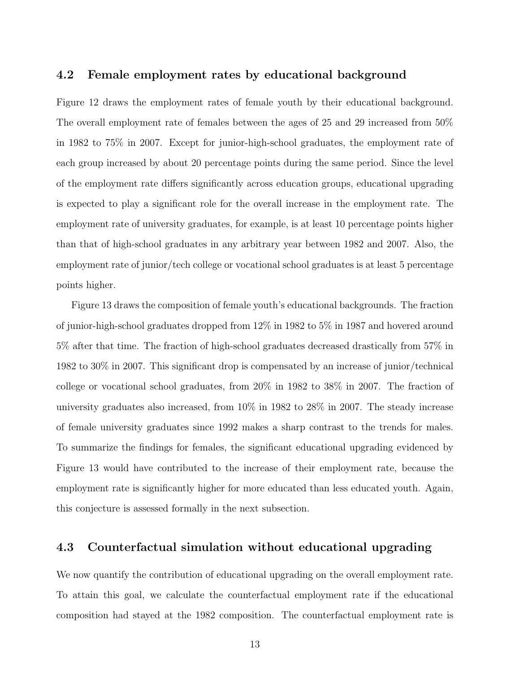#### 4.2 Female employment rates by educational background

Figure 12 draws the employment rates of female youth by their educational background. The overall employment rate of females between the ages of 25 and 29 increased from 50% in 1982 to 75% in 2007. Except for junior-high-school graduates, the employment rate of each group increased by about 20 percentage points during the same period. Since the level of the employment rate differs significantly across education groups, educational upgrading is expected to play a significant role for the overall increase in the employment rate. The employment rate of university graduates, for example, is at least 10 percentage points higher than that of high-school graduates in any arbitrary year between 1982 and 2007. Also, the employment rate of junior/tech college or vocational school graduates is at least 5 percentage points higher.

Figure 13 draws the composition of female youth's educational backgrounds. The fraction of junior-high-school graduates dropped from 12% in 1982 to 5% in 1987 and hovered around 5% after that time. The fraction of high-school graduates decreased drastically from 57% in 1982 to 30% in 2007. This significant drop is compensated by an increase of junior/technical college or vocational school graduates, from 20% in 1982 to 38% in 2007. The fraction of university graduates also increased, from 10% in 1982 to 28% in 2007. The steady increase of female university graduates since 1992 makes a sharp contrast to the trends for males. To summarize the findings for females, the significant educational upgrading evidenced by Figure 13 would have contributed to the increase of their employment rate, because the employment rate is significantly higher for more educated than less educated youth. Again, this conjecture is assessed formally in the next subsection.

#### 4.3 Counterfactual simulation without educational upgrading

We now quantify the contribution of educational upgrading on the overall employment rate. To attain this goal, we calculate the counterfactual employment rate if the educational composition had stayed at the 1982 composition. The counterfactual employment rate is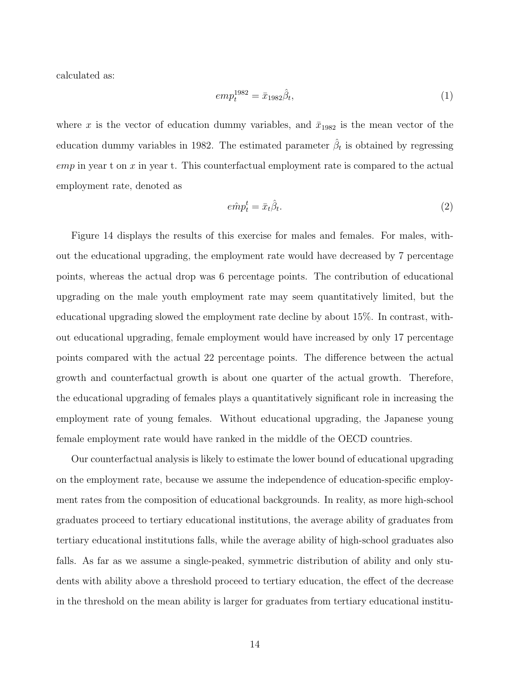calculated as:

$$
emp_t^{1982} = \bar{x}_{1982}\hat{\beta}_t,\tag{1}
$$

where x is the vector of education dummy variables, and  $\bar{x}_{1982}$  is the mean vector of the education dummy variables in 1982. The estimated parameter  $\hat{\beta}_t$  is obtained by regressing  $emp$  in year t on x in year t. This counterfactual employment rate is compared to the actual employment rate, denoted as

$$
e\hat{m}p_t^t = \bar{x}_t \hat{\beta}_t. \tag{2}
$$

Figure 14 displays the results of this exercise for males and females. For males, without the educational upgrading, the employment rate would have decreased by 7 percentage points, whereas the actual drop was 6 percentage points. The contribution of educational upgrading on the male youth employment rate may seem quantitatively limited, but the educational upgrading slowed the employment rate decline by about 15%. In contrast, without educational upgrading, female employment would have increased by only 17 percentage points compared with the actual 22 percentage points. The difference between the actual growth and counterfactual growth is about one quarter of the actual growth. Therefore, the educational upgrading of females plays a quantitatively significant role in increasing the employment rate of young females. Without educational upgrading, the Japanese young female employment rate would have ranked in the middle of the OECD countries.

Our counterfactual analysis is likely to estimate the lower bound of educational upgrading on the employment rate, because we assume the independence of education-specific employment rates from the composition of educational backgrounds. In reality, as more high-school graduates proceed to tertiary educational institutions, the average ability of graduates from tertiary educational institutions falls, while the average ability of high-school graduates also falls. As far as we assume a single-peaked, symmetric distribution of ability and only students with ability above a threshold proceed to tertiary education, the effect of the decrease in the threshold on the mean ability is larger for graduates from tertiary educational institu-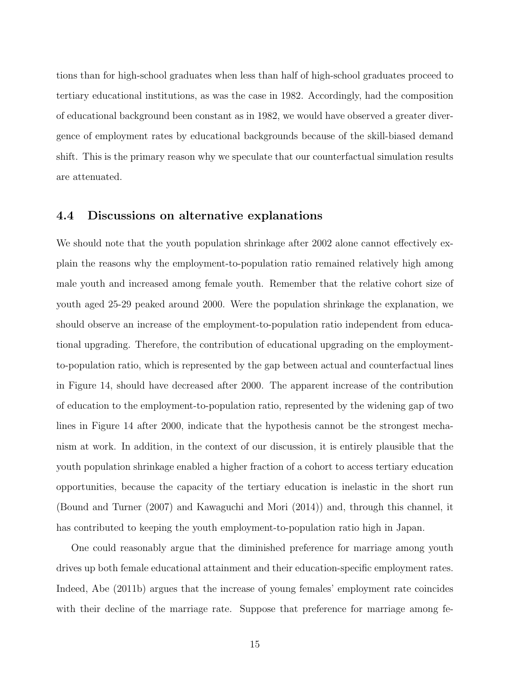tions than for high-school graduates when less than half of high-school graduates proceed to tertiary educational institutions, as was the case in 1982. Accordingly, had the composition of educational background been constant as in 1982, we would have observed a greater divergence of employment rates by educational backgrounds because of the skill-biased demand shift. This is the primary reason why we speculate that our counterfactual simulation results are attenuated.

#### 4.4 Discussions on alternative explanations

We should note that the youth population shrinkage after 2002 alone cannot effectively explain the reasons why the employment-to-population ratio remained relatively high among male youth and increased among female youth. Remember that the relative cohort size of youth aged 25-29 peaked around 2000. Were the population shrinkage the explanation, we should observe an increase of the employment-to-population ratio independent from educational upgrading. Therefore, the contribution of educational upgrading on the employmentto-population ratio, which is represented by the gap between actual and counterfactual lines in Figure 14, should have decreased after 2000. The apparent increase of the contribution of education to the employment-to-population ratio, represented by the widening gap of two lines in Figure 14 after 2000, indicate that the hypothesis cannot be the strongest mechanism at work. In addition, in the context of our discussion, it is entirely plausible that the youth population shrinkage enabled a higher fraction of a cohort to access tertiary education opportunities, because the capacity of the tertiary education is inelastic in the short run (Bound and Turner (2007) and Kawaguchi and Mori (2014)) and, through this channel, it has contributed to keeping the youth employment-to-population ratio high in Japan.

One could reasonably argue that the diminished preference for marriage among youth drives up both female educational attainment and their education-specific employment rates. Indeed, Abe (2011b) argues that the increase of young females' employment rate coincides with their decline of the marriage rate. Suppose that preference for marriage among fe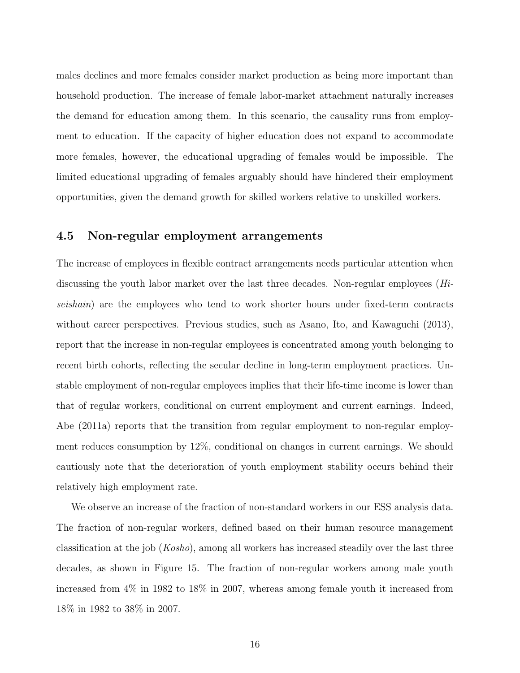males declines and more females consider market production as being more important than household production. The increase of female labor-market attachment naturally increases the demand for education among them. In this scenario, the causality runs from employment to education. If the capacity of higher education does not expand to accommodate more females, however, the educational upgrading of females would be impossible. The limited educational upgrading of females arguably should have hindered their employment opportunities, given the demand growth for skilled workers relative to unskilled workers.

#### 4.5 Non-regular employment arrangements

The increase of employees in flexible contract arrangements needs particular attention when discussing the youth labor market over the last three decades. Non-regular employees (Hiseishain) are the employees who tend to work shorter hours under fixed-term contracts without career perspectives. Previous studies, such as Asano, Ito, and Kawaguchi (2013), report that the increase in non-regular employees is concentrated among youth belonging to recent birth cohorts, reflecting the secular decline in long-term employment practices. Unstable employment of non-regular employees implies that their life-time income is lower than that of regular workers, conditional on current employment and current earnings. Indeed, Abe (2011a) reports that the transition from regular employment to non-regular employment reduces consumption by 12%, conditional on changes in current earnings. We should cautiously note that the deterioration of youth employment stability occurs behind their relatively high employment rate.

We observe an increase of the fraction of non-standard workers in our ESS analysis data. The fraction of non-regular workers, defined based on their human resource management classification at the job (Kosho), among all workers has increased steadily over the last three decades, as shown in Figure 15. The fraction of non-regular workers among male youth increased from 4% in 1982 to 18% in 2007, whereas among female youth it increased from 18% in 1982 to 38% in 2007.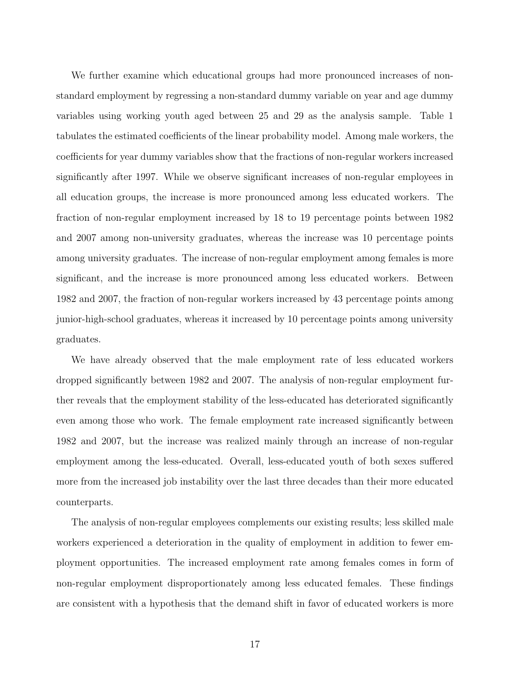We further examine which educational groups had more pronounced increases of nonstandard employment by regressing a non-standard dummy variable on year and age dummy variables using working youth aged between 25 and 29 as the analysis sample. Table 1 tabulates the estimated coefficients of the linear probability model. Among male workers, the coefficients for year dummy variables show that the fractions of non-regular workers increased significantly after 1997. While we observe significant increases of non-regular employees in all education groups, the increase is more pronounced among less educated workers. The fraction of non-regular employment increased by 18 to 19 percentage points between 1982 and 2007 among non-university graduates, whereas the increase was 10 percentage points among university graduates. The increase of non-regular employment among females is more significant, and the increase is more pronounced among less educated workers. Between 1982 and 2007, the fraction of non-regular workers increased by 43 percentage points among junior-high-school graduates, whereas it increased by 10 percentage points among university graduates.

We have already observed that the male employment rate of less educated workers dropped significantly between 1982 and 2007. The analysis of non-regular employment further reveals that the employment stability of the less-educated has deteriorated significantly even among those who work. The female employment rate increased significantly between 1982 and 2007, but the increase was realized mainly through an increase of non-regular employment among the less-educated. Overall, less-educated youth of both sexes suffered more from the increased job instability over the last three decades than their more educated counterparts.

The analysis of non-regular employees complements our existing results; less skilled male workers experienced a deterioration in the quality of employment in addition to fewer employment opportunities. The increased employment rate among females comes in form of non-regular employment disproportionately among less educated females. These findings are consistent with a hypothesis that the demand shift in favor of educated workers is more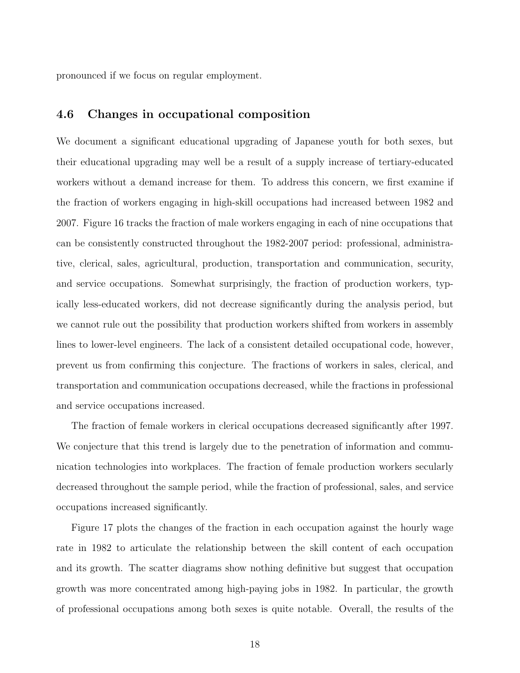pronounced if we focus on regular employment.

#### 4.6 Changes in occupational composition

We document a significant educational upgrading of Japanese youth for both sexes, but their educational upgrading may well be a result of a supply increase of tertiary-educated workers without a demand increase for them. To address this concern, we first examine if the fraction of workers engaging in high-skill occupations had increased between 1982 and 2007. Figure 16 tracks the fraction of male workers engaging in each of nine occupations that can be consistently constructed throughout the 1982-2007 period: professional, administrative, clerical, sales, agricultural, production, transportation and communication, security, and service occupations. Somewhat surprisingly, the fraction of production workers, typically less-educated workers, did not decrease significantly during the analysis period, but we cannot rule out the possibility that production workers shifted from workers in assembly lines to lower-level engineers. The lack of a consistent detailed occupational code, however, prevent us from confirming this conjecture. The fractions of workers in sales, clerical, and transportation and communication occupations decreased, while the fractions in professional and service occupations increased.

The fraction of female workers in clerical occupations decreased significantly after 1997. We conjecture that this trend is largely due to the penetration of information and communication technologies into workplaces. The fraction of female production workers secularly decreased throughout the sample period, while the fraction of professional, sales, and service occupations increased significantly.

Figure 17 plots the changes of the fraction in each occupation against the hourly wage rate in 1982 to articulate the relationship between the skill content of each occupation and its growth. The scatter diagrams show nothing definitive but suggest that occupation growth was more concentrated among high-paying jobs in 1982. In particular, the growth of professional occupations among both sexes is quite notable. Overall, the results of the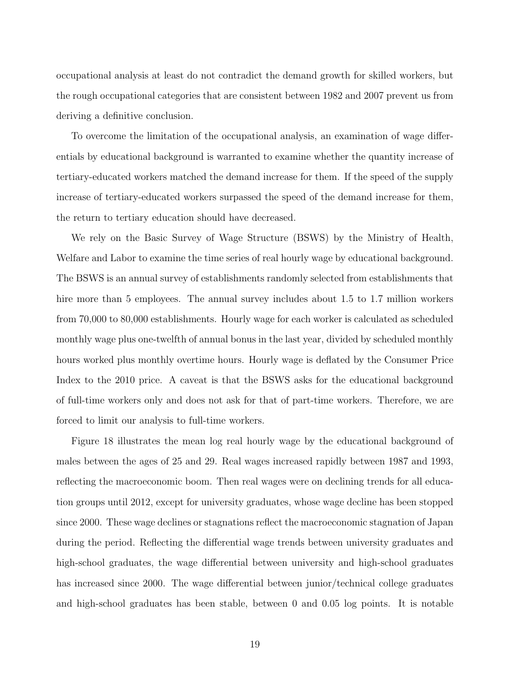occupational analysis at least do not contradict the demand growth for skilled workers, but the rough occupational categories that are consistent between 1982 and 2007 prevent us from deriving a definitive conclusion.

To overcome the limitation of the occupational analysis, an examination of wage differentials by educational background is warranted to examine whether the quantity increase of tertiary-educated workers matched the demand increase for them. If the speed of the supply increase of tertiary-educated workers surpassed the speed of the demand increase for them, the return to tertiary education should have decreased.

We rely on the Basic Survey of Wage Structure (BSWS) by the Ministry of Health, Welfare and Labor to examine the time series of real hourly wage by educational background. The BSWS is an annual survey of establishments randomly selected from establishments that hire more than 5 employees. The annual survey includes about 1.5 to 1.7 million workers from 70,000 to 80,000 establishments. Hourly wage for each worker is calculated as scheduled monthly wage plus one-twelfth of annual bonus in the last year, divided by scheduled monthly hours worked plus monthly overtime hours. Hourly wage is deflated by the Consumer Price Index to the 2010 price. A caveat is that the BSWS asks for the educational background of full-time workers only and does not ask for that of part-time workers. Therefore, we are forced to limit our analysis to full-time workers.

Figure 18 illustrates the mean log real hourly wage by the educational background of males between the ages of 25 and 29. Real wages increased rapidly between 1987 and 1993, reflecting the macroeconomic boom. Then real wages were on declining trends for all education groups until 2012, except for university graduates, whose wage decline has been stopped since 2000. These wage declines or stagnations reflect the macroeconomic stagnation of Japan during the period. Reflecting the differential wage trends between university graduates and high-school graduates, the wage differential between university and high-school graduates has increased since 2000. The wage differential between junior/technical college graduates and high-school graduates has been stable, between 0 and 0.05 log points. It is notable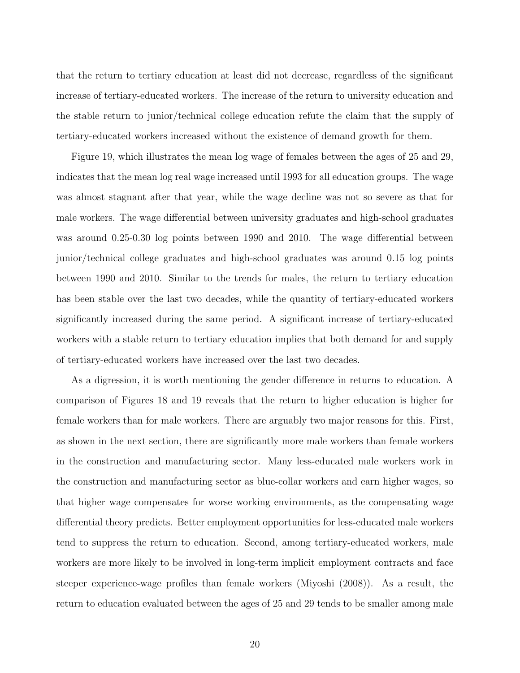that the return to tertiary education at least did not decrease, regardless of the significant increase of tertiary-educated workers. The increase of the return to university education and the stable return to junior/technical college education refute the claim that the supply of tertiary-educated workers increased without the existence of demand growth for them.

Figure 19, which illustrates the mean log wage of females between the ages of 25 and 29, indicates that the mean log real wage increased until 1993 for all education groups. The wage was almost stagnant after that year, while the wage decline was not so severe as that for male workers. The wage differential between university graduates and high-school graduates was around 0.25-0.30 log points between 1990 and 2010. The wage differential between junior/technical college graduates and high-school graduates was around 0.15 log points between 1990 and 2010. Similar to the trends for males, the return to tertiary education has been stable over the last two decades, while the quantity of tertiary-educated workers significantly increased during the same period. A significant increase of tertiary-educated workers with a stable return to tertiary education implies that both demand for and supply of tertiary-educated workers have increased over the last two decades.

As a digression, it is worth mentioning the gender difference in returns to education. A comparison of Figures 18 and 19 reveals that the return to higher education is higher for female workers than for male workers. There are arguably two major reasons for this. First, as shown in the next section, there are significantly more male workers than female workers in the construction and manufacturing sector. Many less-educated male workers work in the construction and manufacturing sector as blue-collar workers and earn higher wages, so that higher wage compensates for worse working environments, as the compensating wage differential theory predicts. Better employment opportunities for less-educated male workers tend to suppress the return to education. Second, among tertiary-educated workers, male workers are more likely to be involved in long-term implicit employment contracts and face steeper experience-wage profiles than female workers (Miyoshi (2008)). As a result, the return to education evaluated between the ages of 25 and 29 tends to be smaller among male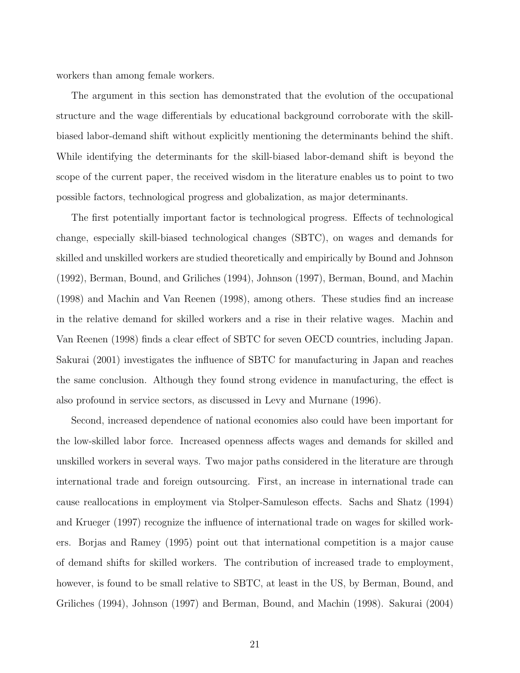workers than among female workers.

The argument in this section has demonstrated that the evolution of the occupational structure and the wage differentials by educational background corroborate with the skillbiased labor-demand shift without explicitly mentioning the determinants behind the shift. While identifying the determinants for the skill-biased labor-demand shift is beyond the scope of the current paper, the received wisdom in the literature enables us to point to two possible factors, technological progress and globalization, as major determinants.

The first potentially important factor is technological progress. Effects of technological change, especially skill-biased technological changes (SBTC), on wages and demands for skilled and unskilled workers are studied theoretically and empirically by Bound and Johnson (1992), Berman, Bound, and Griliches (1994), Johnson (1997), Berman, Bound, and Machin (1998) and Machin and Van Reenen (1998), among others. These studies find an increase in the relative demand for skilled workers and a rise in their relative wages. Machin and Van Reenen (1998) finds a clear effect of SBTC for seven OECD countries, including Japan. Sakurai (2001) investigates the influence of SBTC for manufacturing in Japan and reaches the same conclusion. Although they found strong evidence in manufacturing, the effect is also profound in service sectors, as discussed in Levy and Murnane (1996).

Second, increased dependence of national economies also could have been important for the low-skilled labor force. Increased openness affects wages and demands for skilled and unskilled workers in several ways. Two major paths considered in the literature are through international trade and foreign outsourcing. First, an increase in international trade can cause reallocations in employment via Stolper-Samuleson effects. Sachs and Shatz (1994) and Krueger (1997) recognize the influence of international trade on wages for skilled workers. Borjas and Ramey (1995) point out that international competition is a major cause of demand shifts for skilled workers. The contribution of increased trade to employment, however, is found to be small relative to SBTC, at least in the US, by Berman, Bound, and Griliches (1994), Johnson (1997) and Berman, Bound, and Machin (1998). Sakurai (2004)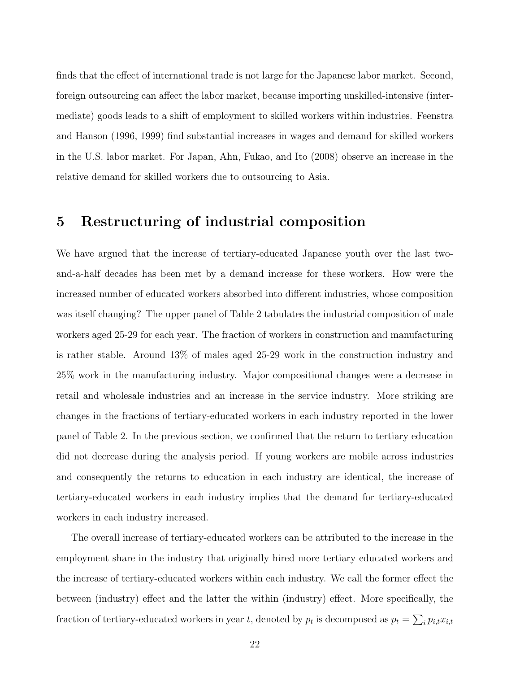finds that the effect of international trade is not large for the Japanese labor market. Second, foreign outsourcing can affect the labor market, because importing unskilled-intensive (intermediate) goods leads to a shift of employment to skilled workers within industries. Feenstra and Hanson (1996, 1999) find substantial increases in wages and demand for skilled workers in the U.S. labor market. For Japan, Ahn, Fukao, and Ito (2008) observe an increase in the relative demand for skilled workers due to outsourcing to Asia.

## 5 Restructuring of industrial composition

We have argued that the increase of tertiary-educated Japanese youth over the last twoand-a-half decades has been met by a demand increase for these workers. How were the increased number of educated workers absorbed into different industries, whose composition was itself changing? The upper panel of Table 2 tabulates the industrial composition of male workers aged 25-29 for each year. The fraction of workers in construction and manufacturing is rather stable. Around 13% of males aged 25-29 work in the construction industry and 25% work in the manufacturing industry. Major compositional changes were a decrease in retail and wholesale industries and an increase in the service industry. More striking are changes in the fractions of tertiary-educated workers in each industry reported in the lower panel of Table 2. In the previous section, we confirmed that the return to tertiary education did not decrease during the analysis period. If young workers are mobile across industries and consequently the returns to education in each industry are identical, the increase of tertiary-educated workers in each industry implies that the demand for tertiary-educated workers in each industry increased.

The overall increase of tertiary-educated workers can be attributed to the increase in the employment share in the industry that originally hired more tertiary educated workers and the increase of tertiary-educated workers within each industry. We call the former effect the between (industry) effect and the latter the within (industry) effect. More specifically, the fraction of tertiary-educated workers in year t, denoted by  $p_t$  is decomposed as  $p_t = \sum_i p_{i,t} x_{i,t}$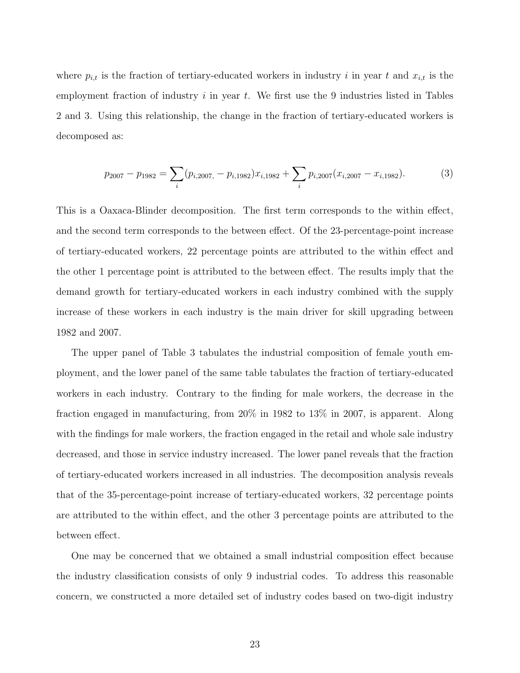where  $p_{i,t}$  is the fraction of tertiary-educated workers in industry i in year t and  $x_{i,t}$  is the employment fraction of industry  $i$  in year  $t$ . We first use the 9 industries listed in Tables 2 and 3. Using this relationship, the change in the fraction of tertiary-educated workers is decomposed as:

$$
p_{2007} - p_{1982} = \sum_{i} (p_{i,2007,} - p_{i,1982}) x_{i,1982} + \sum_{i} p_{i,2007} (x_{i,2007} - x_{i,1982}).
$$
 (3)

This is a Oaxaca-Blinder decomposition. The first term corresponds to the within effect, and the second term corresponds to the between effect. Of the 23-percentage-point increase of tertiary-educated workers, 22 percentage points are attributed to the within effect and the other 1 percentage point is attributed to the between effect. The results imply that the demand growth for tertiary-educated workers in each industry combined with the supply increase of these workers in each industry is the main driver for skill upgrading between 1982 and 2007.

The upper panel of Table 3 tabulates the industrial composition of female youth employment, and the lower panel of the same table tabulates the fraction of tertiary-educated workers in each industry. Contrary to the finding for male workers, the decrease in the fraction engaged in manufacturing, from 20% in 1982 to 13% in 2007, is apparent. Along with the findings for male workers, the fraction engaged in the retail and whole sale industry decreased, and those in service industry increased. The lower panel reveals that the fraction of tertiary-educated workers increased in all industries. The decomposition analysis reveals that of the 35-percentage-point increase of tertiary-educated workers, 32 percentage points are attributed to the within effect, and the other 3 percentage points are attributed to the between effect.

One may be concerned that we obtained a small industrial composition effect because the industry classification consists of only 9 industrial codes. To address this reasonable concern, we constructed a more detailed set of industry codes based on two-digit industry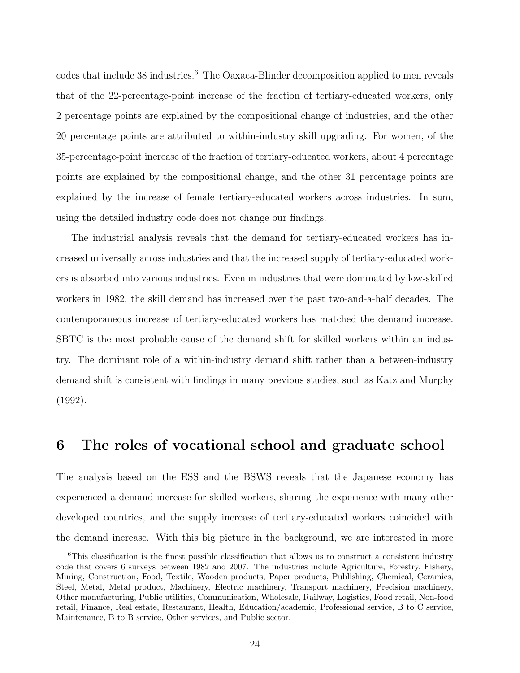codes that include 38 industries.<sup>6</sup> The Oaxaca-Blinder decomposition applied to men reveals that of the 22-percentage-point increase of the fraction of tertiary-educated workers, only 2 percentage points are explained by the compositional change of industries, and the other 20 percentage points are attributed to within-industry skill upgrading. For women, of the 35-percentage-point increase of the fraction of tertiary-educated workers, about 4 percentage points are explained by the compositional change, and the other 31 percentage points are explained by the increase of female tertiary-educated workers across industries. In sum, using the detailed industry code does not change our findings.

The industrial analysis reveals that the demand for tertiary-educated workers has increased universally across industries and that the increased supply of tertiary-educated workers is absorbed into various industries. Even in industries that were dominated by low-skilled workers in 1982, the skill demand has increased over the past two-and-a-half decades. The contemporaneous increase of tertiary-educated workers has matched the demand increase. SBTC is the most probable cause of the demand shift for skilled workers within an industry. The dominant role of a within-industry demand shift rather than a between-industry demand shift is consistent with findings in many previous studies, such as Katz and Murphy (1992).

### 6 The roles of vocational school and graduate school

The analysis based on the ESS and the BSWS reveals that the Japanese economy has experienced a demand increase for skilled workers, sharing the experience with many other developed countries, and the supply increase of tertiary-educated workers coincided with the demand increase. With this big picture in the background, we are interested in more

<sup>6</sup>This classification is the finest possible classification that allows us to construct a consistent industry code that covers 6 surveys between 1982 and 2007. The industries include Agriculture, Forestry, Fishery, Mining, Construction, Food, Textile, Wooden products, Paper products, Publishing, Chemical, Ceramics, Steel, Metal, Metal product, Machinery, Electric machinery, Transport machinery, Precision machinery, Other manufacturing, Public utilities, Communication, Wholesale, Railway, Logistics, Food retail, Non-food retail, Finance, Real estate, Restaurant, Health, Education/academic, Professional service, B to C service, Maintenance, B to B service, Other services, and Public sector.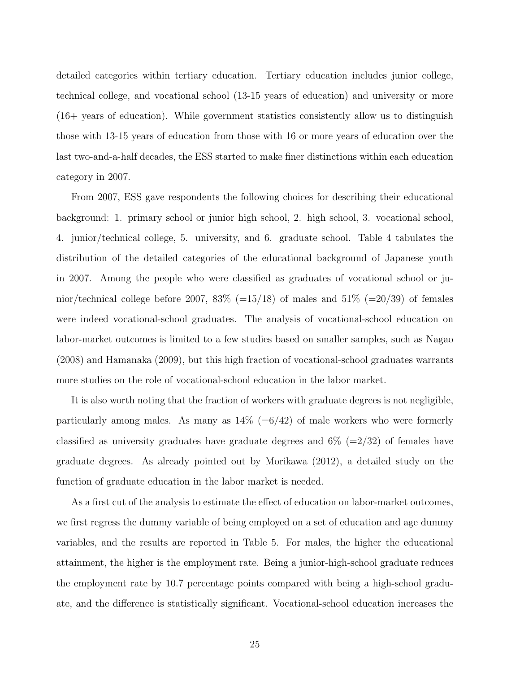detailed categories within tertiary education. Tertiary education includes junior college, technical college, and vocational school (13-15 years of education) and university or more (16+ years of education). While government statistics consistently allow us to distinguish those with 13-15 years of education from those with 16 or more years of education over the last two-and-a-half decades, the ESS started to make finer distinctions within each education category in 2007.

From 2007, ESS gave respondents the following choices for describing their educational background: 1. primary school or junior high school, 2. high school, 3. vocational school, 4. junior/technical college, 5. university, and 6. graduate school. Table 4 tabulates the distribution of the detailed categories of the educational background of Japanese youth in 2007. Among the people who were classified as graduates of vocational school or junior/technical college before 2007, 83\% (=15/18) of males and 51\% (=20/39) of females were indeed vocational-school graduates. The analysis of vocational-school education on labor-market outcomes is limited to a few studies based on smaller samples, such as Nagao (2008) and Hamanaka (2009), but this high fraction of vocational-school graduates warrants more studies on the role of vocational-school education in the labor market.

It is also worth noting that the fraction of workers with graduate degrees is not negligible, particularly among males. As many as  $14\%$  (=6/42) of male workers who were formerly classified as university graduates have graduate degrees and  $6\%$  (=2/32) of females have graduate degrees. As already pointed out by Morikawa (2012), a detailed study on the function of graduate education in the labor market is needed.

As a first cut of the analysis to estimate the effect of education on labor-market outcomes, we first regress the dummy variable of being employed on a set of education and age dummy variables, and the results are reported in Table 5. For males, the higher the educational attainment, the higher is the employment rate. Being a junior-high-school graduate reduces the employment rate by 10.7 percentage points compared with being a high-school graduate, and the difference is statistically significant. Vocational-school education increases the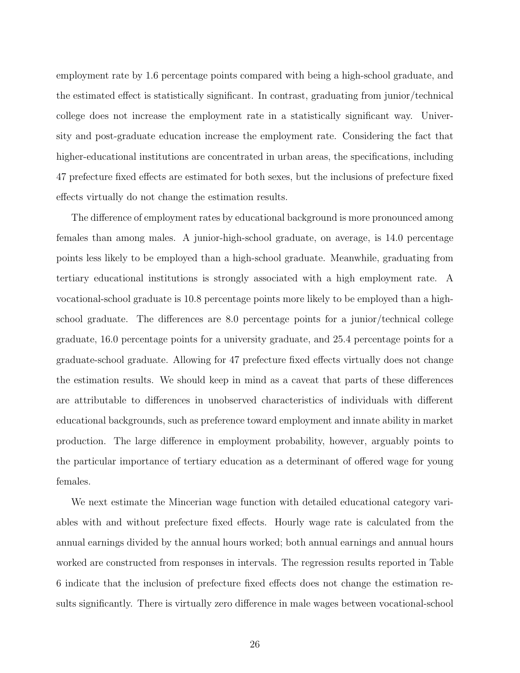employment rate by 1.6 percentage points compared with being a high-school graduate, and the estimated effect is statistically significant. In contrast, graduating from junior/technical college does not increase the employment rate in a statistically significant way. University and post-graduate education increase the employment rate. Considering the fact that higher-educational institutions are concentrated in urban areas, the specifications, including 47 prefecture fixed effects are estimated for both sexes, but the inclusions of prefecture fixed effects virtually do not change the estimation results.

The difference of employment rates by educational background is more pronounced among females than among males. A junior-high-school graduate, on average, is 14.0 percentage points less likely to be employed than a high-school graduate. Meanwhile, graduating from tertiary educational institutions is strongly associated with a high employment rate. A vocational-school graduate is 10.8 percentage points more likely to be employed than a highschool graduate. The differences are 8.0 percentage points for a junior/technical college graduate, 16.0 percentage points for a university graduate, and 25.4 percentage points for a graduate-school graduate. Allowing for 47 prefecture fixed effects virtually does not change the estimation results. We should keep in mind as a caveat that parts of these differences are attributable to differences in unobserved characteristics of individuals with different educational backgrounds, such as preference toward employment and innate ability in market production. The large difference in employment probability, however, arguably points to the particular importance of tertiary education as a determinant of offered wage for young females.

We next estimate the Mincerian wage function with detailed educational category variables with and without prefecture fixed effects. Hourly wage rate is calculated from the annual earnings divided by the annual hours worked; both annual earnings and annual hours worked are constructed from responses in intervals. The regression results reported in Table 6 indicate that the inclusion of prefecture fixed effects does not change the estimation results significantly. There is virtually zero difference in male wages between vocational-school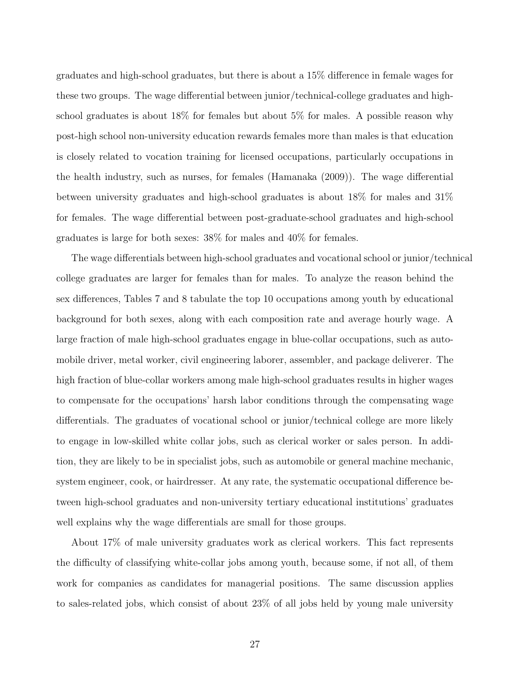graduates and high-school graduates, but there is about a 15% difference in female wages for these two groups. The wage differential between junior/technical-college graduates and highschool graduates is about 18% for females but about 5% for males. A possible reason why post-high school non-university education rewards females more than males is that education is closely related to vocation training for licensed occupations, particularly occupations in the health industry, such as nurses, for females (Hamanaka (2009)). The wage differential between university graduates and high-school graduates is about 18% for males and 31% for females. The wage differential between post-graduate-school graduates and high-school graduates is large for both sexes: 38% for males and 40% for females.

The wage differentials between high-school graduates and vocational school or junior/technical college graduates are larger for females than for males. To analyze the reason behind the sex differences, Tables 7 and 8 tabulate the top 10 occupations among youth by educational background for both sexes, along with each composition rate and average hourly wage. A large fraction of male high-school graduates engage in blue-collar occupations, such as automobile driver, metal worker, civil engineering laborer, assembler, and package deliverer. The high fraction of blue-collar workers among male high-school graduates results in higher wages to compensate for the occupations' harsh labor conditions through the compensating wage differentials. The graduates of vocational school or junior/technical college are more likely to engage in low-skilled white collar jobs, such as clerical worker or sales person. In addition, they are likely to be in specialist jobs, such as automobile or general machine mechanic, system engineer, cook, or hairdresser. At any rate, the systematic occupational difference between high-school graduates and non-university tertiary educational institutions' graduates well explains why the wage differentials are small for those groups.

About 17% of male university graduates work as clerical workers. This fact represents the difficulty of classifying white-collar jobs among youth, because some, if not all, of them work for companies as candidates for managerial positions. The same discussion applies to sales-related jobs, which consist of about 23% of all jobs held by young male university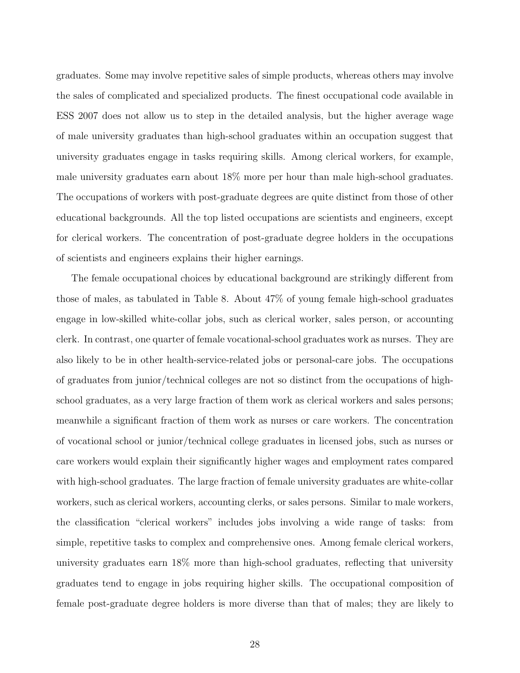graduates. Some may involve repetitive sales of simple products, whereas others may involve the sales of complicated and specialized products. The finest occupational code available in ESS 2007 does not allow us to step in the detailed analysis, but the higher average wage of male university graduates than high-school graduates within an occupation suggest that university graduates engage in tasks requiring skills. Among clerical workers, for example, male university graduates earn about 18% more per hour than male high-school graduates. The occupations of workers with post-graduate degrees are quite distinct from those of other educational backgrounds. All the top listed occupations are scientists and engineers, except for clerical workers. The concentration of post-graduate degree holders in the occupations of scientists and engineers explains their higher earnings.

The female occupational choices by educational background are strikingly different from those of males, as tabulated in Table 8. About 47% of young female high-school graduates engage in low-skilled white-collar jobs, such as clerical worker, sales person, or accounting clerk. In contrast, one quarter of female vocational-school graduates work as nurses. They are also likely to be in other health-service-related jobs or personal-care jobs. The occupations of graduates from junior/technical colleges are not so distinct from the occupations of highschool graduates, as a very large fraction of them work as clerical workers and sales persons; meanwhile a significant fraction of them work as nurses or care workers. The concentration of vocational school or junior/technical college graduates in licensed jobs, such as nurses or care workers would explain their significantly higher wages and employment rates compared with high-school graduates. The large fraction of female university graduates are white-collar workers, such as clerical workers, accounting clerks, or sales persons. Similar to male workers, the classification "clerical workers" includes jobs involving a wide range of tasks: from simple, repetitive tasks to complex and comprehensive ones. Among female clerical workers, university graduates earn 18% more than high-school graduates, reflecting that university graduates tend to engage in jobs requiring higher skills. The occupational composition of female post-graduate degree holders is more diverse than that of males; they are likely to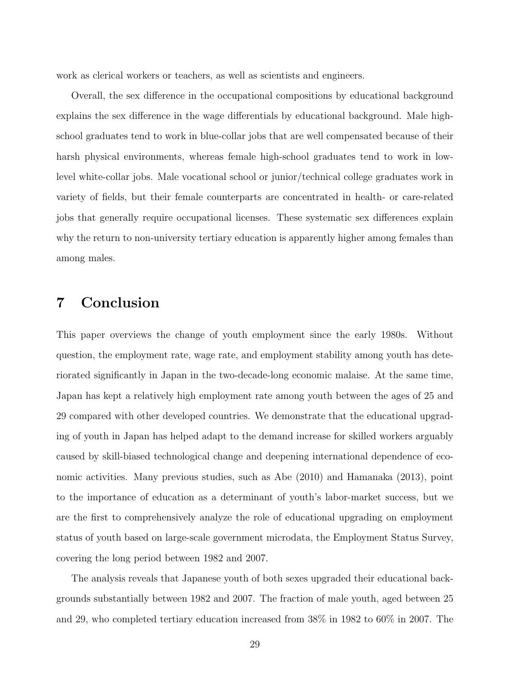work as clerical workers or teachers, as well as scientists and engineers.

Overall, the sex difference in the occupational compositions by educational background explains the sex difference in the wage differentials by educational background. Male highschool graduates tend to work in blue-collar jobs that are well compensated because of their harsh physical environments, whereas female high-school graduates tend to work in lowlevel white-collar jobs. Male vocational school or junior/technical college graduates work in variety of fields, but their female counterparts are concentrated in health- or care-related jobs that generally require occupational licenses. These systematic sex differences explain why the return to non-university tertiary education is apparently higher among females than among males.

## 7 Conclusion

This paper overviews the change of youth employment since the early 1980s. Without question, the employment rate, wage rate, and employment stability among youth has deteriorated significantly in Japan in the two-decade-long economic malaise. At the same time, Japan has kept a relatively high employment rate among youth between the ages of 25 and 29 compared with other developed countries. We demonstrate that the educational upgrading of youth in Japan has helped adapt to the demand increase for skilled workers arguably caused by skill-biased technological change and deepening international dependence of economic activities. Many previous studies, such as Abe (2010) and Hamanaka (2013), point to the importance of education as a determinant of youth's labor-market success, but we are the first to comprehensively analyze the role of educational upgrading on employment status of youth based on large-scale government microdata, the Employment Status Survey, covering the long period between 1982 and 2007.

The analysis reveals that Japanese youth of both sexes upgraded their educational backgrounds substantially between 1982 and 2007. The fraction of male youth, aged between 25 and 29, who completed tertiary education increased from 38% in 1982 to 60% in 2007. The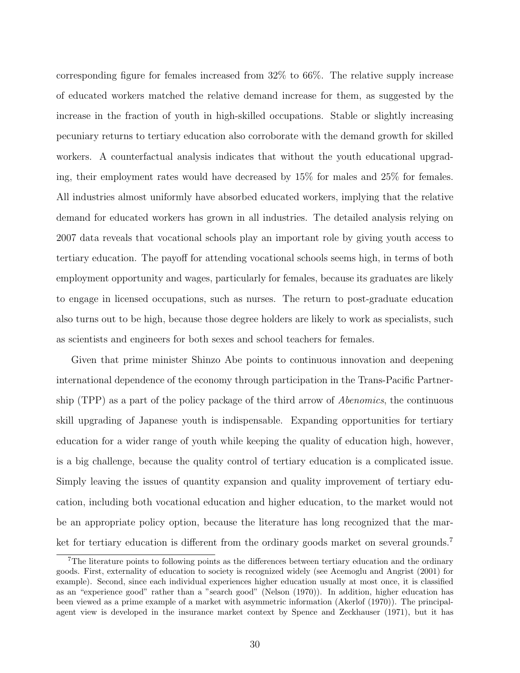corresponding figure for females increased from 32% to 66%. The relative supply increase of educated workers matched the relative demand increase for them, as suggested by the increase in the fraction of youth in high-skilled occupations. Stable or slightly increasing pecuniary returns to tertiary education also corroborate with the demand growth for skilled workers. A counterfactual analysis indicates that without the youth educational upgrading, their employment rates would have decreased by 15% for males and 25% for females. All industries almost uniformly have absorbed educated workers, implying that the relative demand for educated workers has grown in all industries. The detailed analysis relying on 2007 data reveals that vocational schools play an important role by giving youth access to tertiary education. The payoff for attending vocational schools seems high, in terms of both employment opportunity and wages, particularly for females, because its graduates are likely to engage in licensed occupations, such as nurses. The return to post-graduate education also turns out to be high, because those degree holders are likely to work as specialists, such as scientists and engineers for both sexes and school teachers for females.

Given that prime minister Shinzo Abe points to continuous innovation and deepening international dependence of the economy through participation in the Trans-Pacific Partnership (TPP) as a part of the policy package of the third arrow of *Abenomics*, the continuous skill upgrading of Japanese youth is indispensable. Expanding opportunities for tertiary education for a wider range of youth while keeping the quality of education high, however, is a big challenge, because the quality control of tertiary education is a complicated issue. Simply leaving the issues of quantity expansion and quality improvement of tertiary education, including both vocational education and higher education, to the market would not be an appropriate policy option, because the literature has long recognized that the market for tertiary education is different from the ordinary goods market on several grounds.<sup>7</sup>

<sup>7</sup>The literature points to following points as the differences between tertiary education and the ordinary goods. First, externality of education to society is recognized widely (see Acemoglu and Angrist (2001) for example). Second, since each individual experiences higher education usually at most once, it is classified as an "experience good" rather than a "search good" (Nelson (1970)). In addition, higher education has been viewed as a prime example of a market with asymmetric information (Akerlof (1970)). The principalagent view is developed in the insurance market context by Spence and Zeckhauser (1971), but it has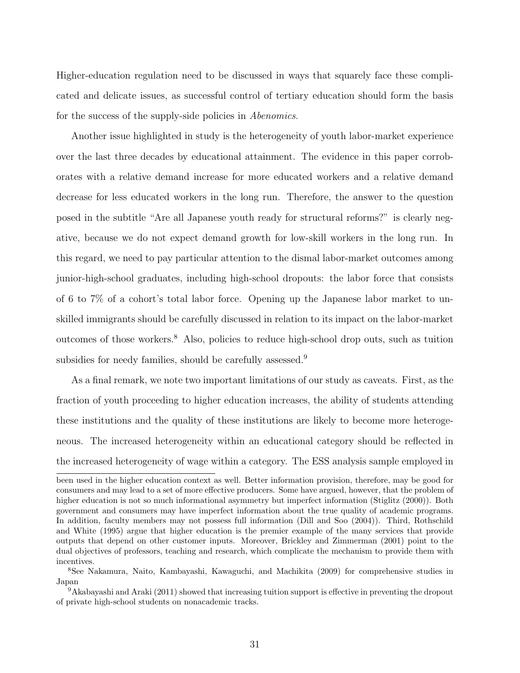Higher-education regulation need to be discussed in ways that squarely face these complicated and delicate issues, as successful control of tertiary education should form the basis for the success of the supply-side policies in *Abenomics*.

Another issue highlighted in study is the heterogeneity of youth labor-market experience over the last three decades by educational attainment. The evidence in this paper corroborates with a relative demand increase for more educated workers and a relative demand decrease for less educated workers in the long run. Therefore, the answer to the question posed in the subtitle "Are all Japanese youth ready for structural reforms?" is clearly negative, because we do not expect demand growth for low-skill workers in the long run. In this regard, we need to pay particular attention to the dismal labor-market outcomes among junior-high-school graduates, including high-school dropouts: the labor force that consists of 6 to 7% of a cohort's total labor force. Opening up the Japanese labor market to unskilled immigrants should be carefully discussed in relation to its impact on the labor-market outcomes of those workers.<sup>8</sup> Also, policies to reduce high-school drop outs, such as tuition subsidies for needy families, should be carefully assessed.<sup>9</sup>

As a final remark, we note two important limitations of our study as caveats. First, as the fraction of youth proceeding to higher education increases, the ability of students attending these institutions and the quality of these institutions are likely to become more heterogeneous. The increased heterogeneity within an educational category should be reflected in the increased heterogeneity of wage within a category. The ESS analysis sample employed in

been used in the higher education context as well. Better information provision, therefore, may be good for consumers and may lead to a set of more effective producers. Some have argued, however, that the problem of higher education is not so much informational asymmetry but imperfect information (Stiglitz (2000)). Both government and consumers may have imperfect information about the true quality of academic programs. In addition, faculty members may not possess full information (Dill and Soo (2004)). Third, Rothschild and White (1995) argue that higher education is the premier example of the many services that provide outputs that depend on other customer inputs. Moreover, Brickley and Zimmerman (2001) point to the dual objectives of professors, teaching and research, which complicate the mechanism to provide them with incentives.

<sup>8</sup>See Nakamura, Naito, Kambayashi, Kawaguchi, and Machikita (2009) for comprehensive studies in Japan

<sup>9</sup>Akabayashi and Araki (2011) showed that increasing tuition support is effective in preventing the dropout of private high-school students on nonacademic tracks.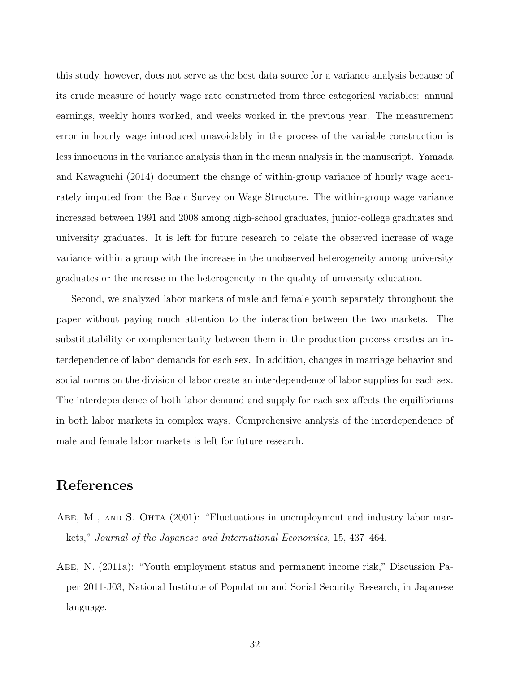this study, however, does not serve as the best data source for a variance analysis because of its crude measure of hourly wage rate constructed from three categorical variables: annual earnings, weekly hours worked, and weeks worked in the previous year. The measurement error in hourly wage introduced unavoidably in the process of the variable construction is less innocuous in the variance analysis than in the mean analysis in the manuscript. Yamada and Kawaguchi (2014) document the change of within-group variance of hourly wage accurately imputed from the Basic Survey on Wage Structure. The within-group wage variance increased between 1991 and 2008 among high-school graduates, junior-college graduates and university graduates. It is left for future research to relate the observed increase of wage variance within a group with the increase in the unobserved heterogeneity among university graduates or the increase in the heterogeneity in the quality of university education.

Second, we analyzed labor markets of male and female youth separately throughout the paper without paying much attention to the interaction between the two markets. The substitutability or complementarity between them in the production process creates an interdependence of labor demands for each sex. In addition, changes in marriage behavior and social norms on the division of labor create an interdependence of labor supplies for each sex. The interdependence of both labor demand and supply for each sex affects the equilibriums in both labor markets in complex ways. Comprehensive analysis of the interdependence of male and female labor markets is left for future research.

## References

- ABE, M., AND S. OHTA (2001): "Fluctuations in unemployment and industry labor markets," Journal of the Japanese and International Economies, 15, 437–464.
- Abe, N. (2011a): "Youth employment status and permanent income risk," Discussion Paper 2011-J03, National Institute of Population and Social Security Research, in Japanese language.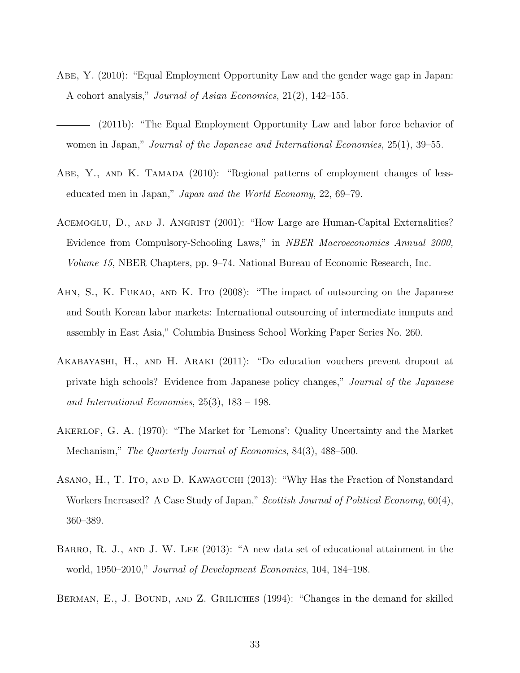- Abe, Y. (2010): "Equal Employment Opportunity Law and the gender wage gap in Japan: A cohort analysis," Journal of Asian Economics, 21(2), 142–155.
- (2011b): "The Equal Employment Opportunity Law and labor force behavior of women in Japan," *Journal of the Japanese and International Economies*, 25(1), 39–55.
- ABE, Y., AND K. TAMADA (2010): "Regional patterns of employment changes of lesseducated men in Japan," Japan and the World Economy, 22, 69–79.
- ACEMOGLU, D., AND J. ANGRIST (2001): "How Large are Human-Capital Externalities? Evidence from Compulsory-Schooling Laws," in NBER Macroeconomics Annual 2000, Volume 15, NBER Chapters, pp. 9–74. National Bureau of Economic Research, Inc.
- AHN, S., K. FUKAO, AND K. ITO (2008): "The impact of outsourcing on the Japanese and South Korean labor markets: International outsourcing of intermediate inmputs and assembly in East Asia," Columbia Business School Working Paper Series No. 260.
- Akabayashi, H., and H. Araki (2011): "Do education vouchers prevent dropout at private high schools? Evidence from Japanese policy changes," Journal of the Japanese and International Economies, 25(3), 183 – 198.
- AKERLOF, G. A. (1970): "The Market for 'Lemons': Quality Uncertainty and the Market Mechanism," The Quarterly Journal of Economics, 84(3), 488–500.
- Asano, H., T. Ito, and D. Kawaguchi (2013): "Why Has the Fraction of Nonstandard Workers Increased? A Case Study of Japan," Scottish Journal of Political Economy, 60(4), 360–389.
- BARRO, R. J., AND J. W. LEE (2013): "A new data set of educational attainment in the world, 1950–2010," Journal of Development Economics, 104, 184–198.
- BERMAN, E., J. BOUND, AND Z. GRILICHES (1994): "Changes in the demand for skilled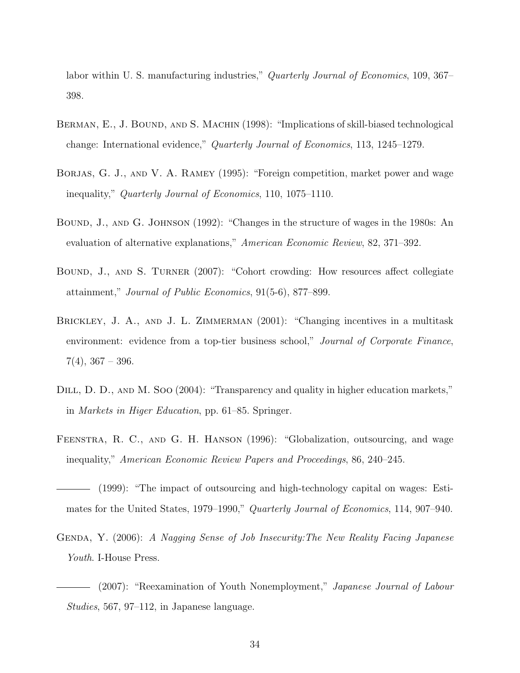labor within U. S. manufacturing industries," *Quarterly Journal of Economics*, 109, 367– 398.

- BERMAN, E., J. BOUND, AND S. MACHIN (1998): "Implications of skill-biased technological change: International evidence," Quarterly Journal of Economics, 113, 1245–1279.
- BORJAS, G. J., AND V. A. RAMEY (1995): "Foreign competition, market power and wage inequality," Quarterly Journal of Economics, 110, 1075–1110.
- Bound, J., and G. Johnson (1992): "Changes in the structure of wages in the 1980s: An evaluation of alternative explanations," American Economic Review, 82, 371–392.
- Bound, J., and S. Turner (2007): "Cohort crowding: How resources affect collegiate attainment," Journal of Public Economics, 91(5-6), 877–899.
- BRICKLEY, J. A., AND J. L. ZIMMERMAN (2001): "Changing incentives in a multitask environment: evidence from a top-tier business school," Journal of Corporate Finance,  $7(4)$ ,  $367 - 396$ .
- DILL, D. D., AND M. SOO (2004): "Transparency and quality in higher education markets," in Markets in Higer Education, pp. 61–85. Springer.
- Feenstra, R. C., and G. H. Hanson (1996): "Globalization, outsourcing, and wage inequality," American Economic Review Papers and Proceedings, 86, 240–245.
- (1999): "The impact of outsourcing and high-technology capital on wages: Estimates for the United States, 1979–1990," Quarterly Journal of Economics, 114, 907–940.
- Genda, Y. (2006): A Nagging Sense of Job Insecurity:The New Reality Facing Japanese Youth. I-House Press.
- (2007): "Reexamination of Youth Nonemployment," Japanese Journal of Labour Studies, 567, 97–112, in Japanese language.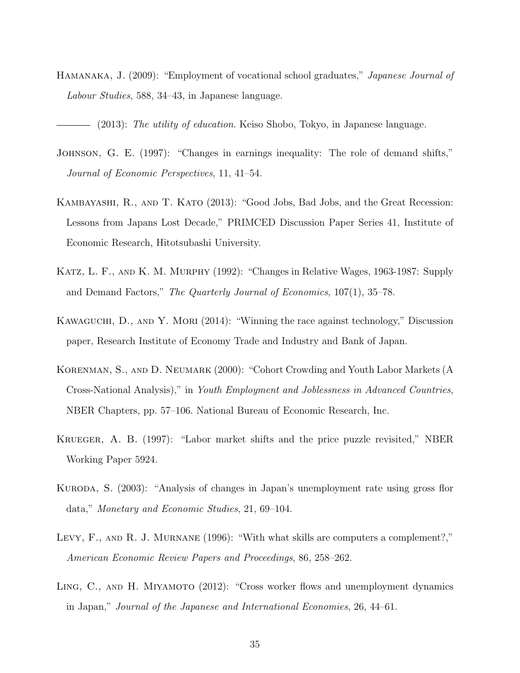Hamanaka, J. (2009): "Employment of vocational school graduates," Japanese Journal of Labour Studies, 588, 34–43, in Japanese language.

(2013): The utility of education. Keiso Shobo, Tokyo, in Japanese language.

- Johnson, G. E. (1997): "Changes in earnings inequality: The role of demand shifts," Journal of Economic Perspectives, 11, 41–54.
- Kambayashi, R., and T. Kato (2013): "Good Jobs, Bad Jobs, and the Great Recession: Lessons from Japans Lost Decade," PRIMCED Discussion Paper Series 41, Institute of Economic Research, Hitotsubashi University.
- Katz, L. F., and K. M. Murphy (1992): "Changes in Relative Wages, 1963-1987: Supply and Demand Factors," The Quarterly Journal of Economics, 107(1), 35–78.
- KAWAGUCHI, D., AND Y. MORI (2014): "Winning the race against technology," Discussion paper, Research Institute of Economy Trade and Industry and Bank of Japan.
- KORENMAN, S., AND D. NEUMARK (2000): "Cohort Crowding and Youth Labor Markets (A Cross-National Analysis)," in Youth Employment and Joblessness in Advanced Countries, NBER Chapters, pp. 57–106. National Bureau of Economic Research, Inc.
- Krueger, A. B. (1997): "Labor market shifts and the price puzzle revisited," NBER Working Paper 5924.
- Kuroda, S. (2003): "Analysis of changes in Japan's unemployment rate using gross flor data," Monetary and Economic Studies, 21, 69–104.
- LEVY, F., AND R. J. MURNANE (1996): "With what skills are computers a complement?," American Economic Review Papers and Proceedings, 86, 258–262.
- LING, C., AND H. MIYAMOTO (2012): "Cross worker flows and unemployment dynamics in Japan," Journal of the Japanese and International Economies, 26, 44–61.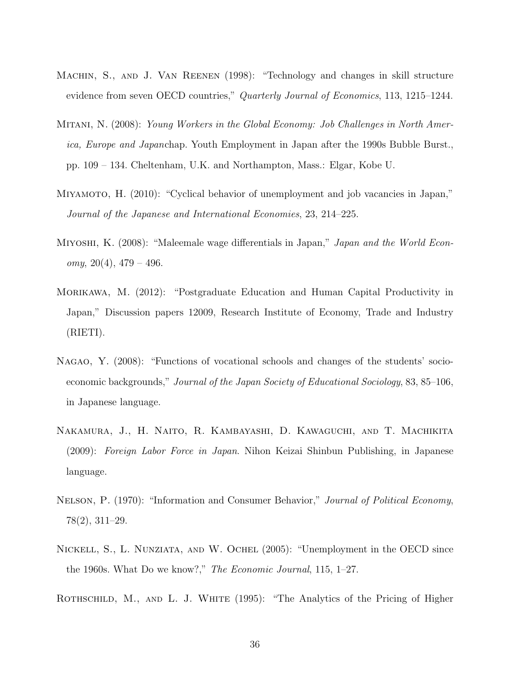- MACHIN, S., AND J. VAN REENEN (1998): "Technology and changes in skill structure evidence from seven OECD countries," Quarterly Journal of Economics, 113, 1215–1244.
- Mitani, N. (2008): Young Workers in the Global Economy: Job Challenges in North America, Europe and Japanchap. Youth Employment in Japan after the 1990s Bubble Burst., pp. 109 – 134. Cheltenham, U.K. and Northampton, Mass.: Elgar, Kobe U.
- Miyamoto, H. (2010): "Cyclical behavior of unemployment and job vacancies in Japan," Journal of the Japanese and International Economies, 23, 214–225.
- MIYOSHI, K. (2008): "Maleemale wage differentials in Japan," Japan and the World Economy,  $20(4)$ ,  $479-496$ .
- Morikawa, M. (2012): "Postgraduate Education and Human Capital Productivity in Japan," Discussion papers 12009, Research Institute of Economy, Trade and Industry (RIETI).
- Nagao, Y. (2008): "Functions of vocational schools and changes of the students' socioeconomic backgrounds," Journal of the Japan Society of Educational Sociology, 83, 85–106, in Japanese language.
- Nakamura, J., H. Naito, R. Kambayashi, D. Kawaguchi, and T. Machikita (2009): Foreign Labor Force in Japan. Nihon Keizai Shinbun Publishing, in Japanese language.
- NELSON, P. (1970): "Information and Consumer Behavior," Journal of Political Economy, 78(2), 311–29.
- Nickell, S., L. Nunziata, and W. Ochel (2005): "Unemployment in the OECD since the 1960s. What Do we know?," The Economic Journal, 115, 1–27.
- ROTHSCHILD, M., AND L. J. WHITE (1995): "The Analytics of the Pricing of Higher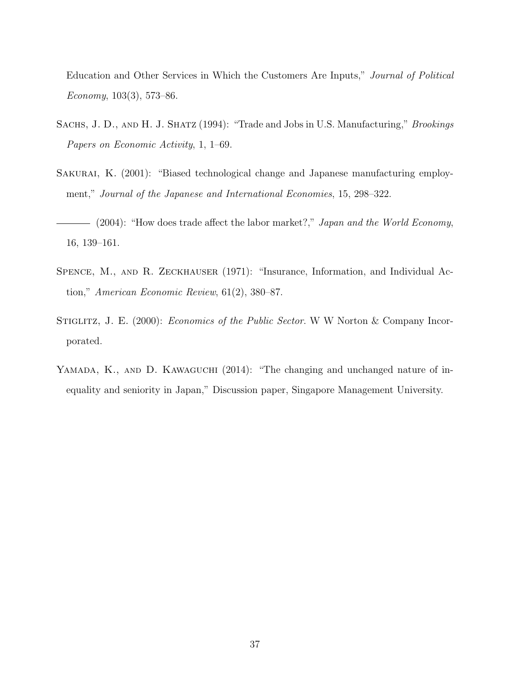Education and Other Services in Which the Customers Are Inputs," Journal of Political Economy,  $103(3)$ , 573–86.

- SACHS, J. D., AND H. J. SHATZ (1994): "Trade and Jobs in U.S. Manufacturing," Brookings Papers on Economic Activity, 1, 1–69.
- SAKURAI, K. (2001): "Biased technological change and Japanese manufacturing employment," Journal of the Japanese and International Economies, 15, 298–322.
- $-$  (2004): "How does trade affect the labor market?," Japan and the World Economy, 16, 139–161.
- SPENCE, M., AND R. ZECKHAUSER (1971): "Insurance, Information, and Individual Action," American Economic Review, 61(2), 380–87.
- STIGLITZ, J. E. (2000): *Economics of the Public Sector*. W W Norton & Company Incorporated.
- YAMADA, K., AND D. KAWAGUCHI (2014): "The changing and unchanged nature of inequality and seniority in Japan," Discussion paper, Singapore Management University.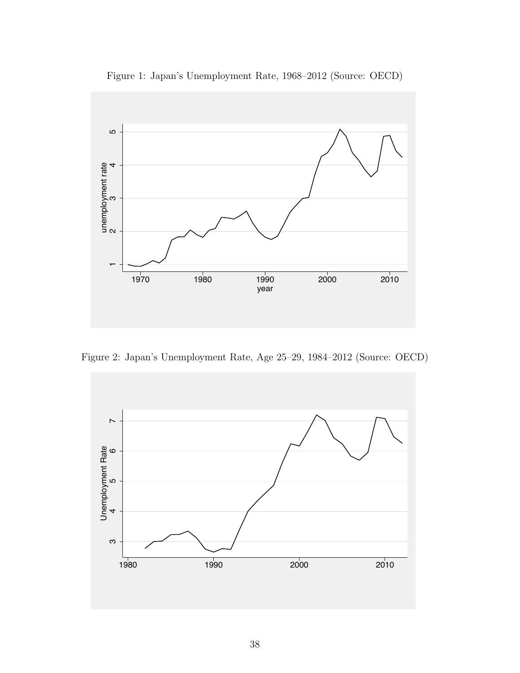



Figure 2: Japan's Unemployment Rate, Age 25–29, 1984–2012 (Source: OECD)

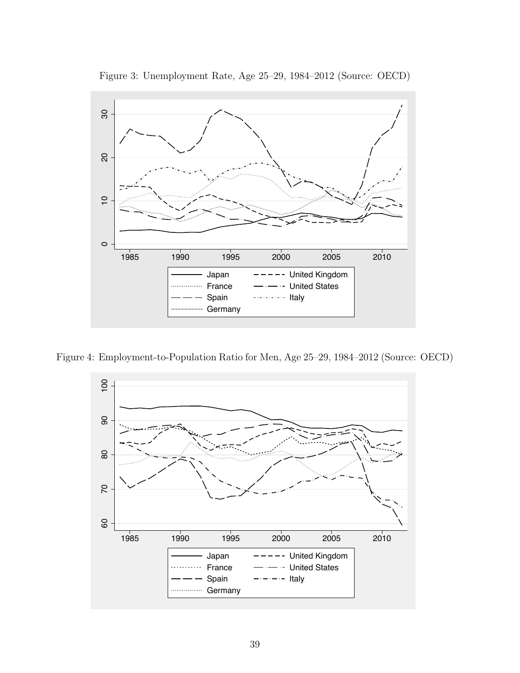



Figure 4: Employment-to-Population Ratio for Men, Age 25–29, 1984–2012 (Source: OECD)

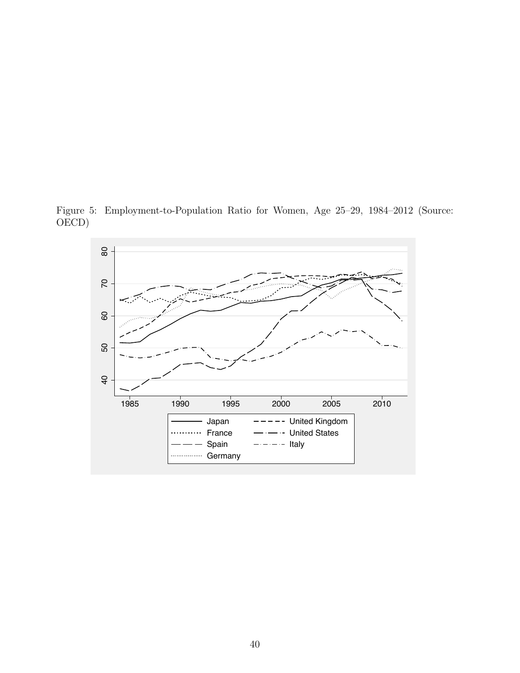Figure 5: Employment-to-Population Ratio for Women, Age 25–29, 1984–2012 (Source: OECD)

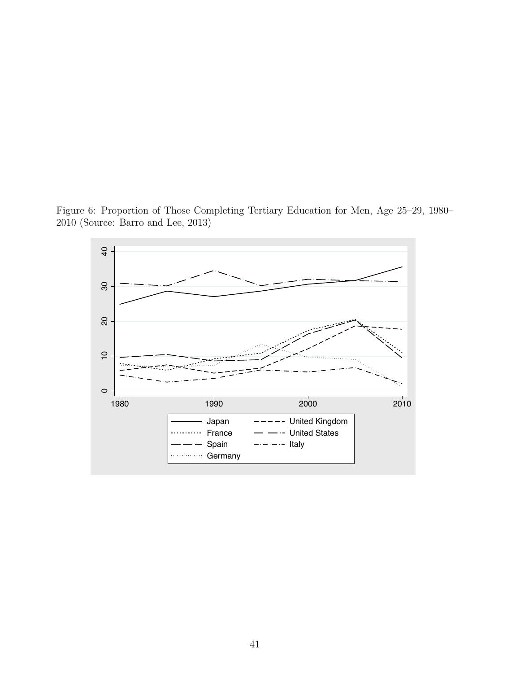Figure 6: Proportion of Those Completing Tertiary Education for Men, Age 25–29, 1980– 2010 (Source: Barro and Lee, 2013)

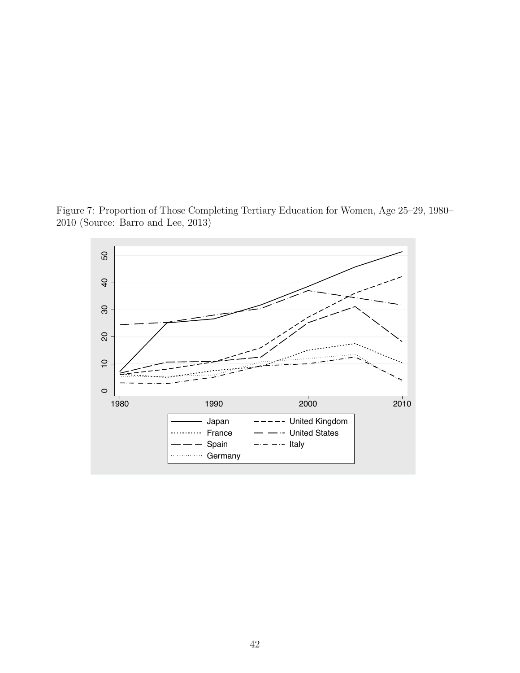Figure 7: Proportion of Those Completing Tertiary Education for Women, Age 25–29, 1980– 2010 (Source: Barro and Lee, 2013)

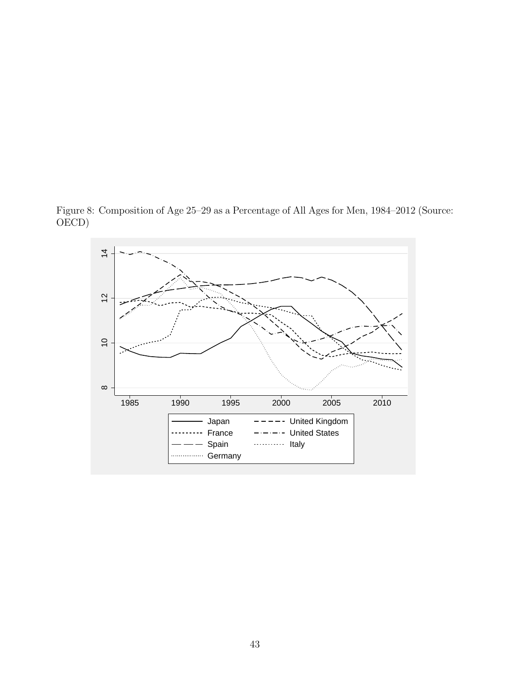Figure 8: Composition of Age 25–29 as a Percentage of All Ages for Men, 1984–2012 (Source: OECD)

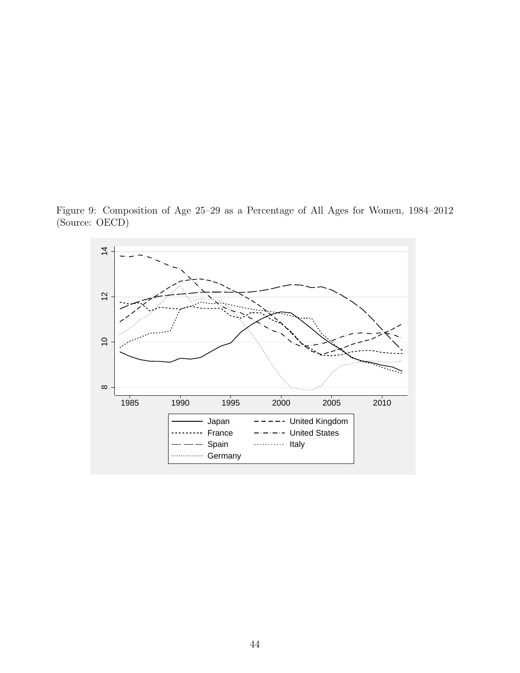Figure 9: Composition of Age 25–29 as a Percentage of All Ages for Women, 1984–2012 (Source: OECD)

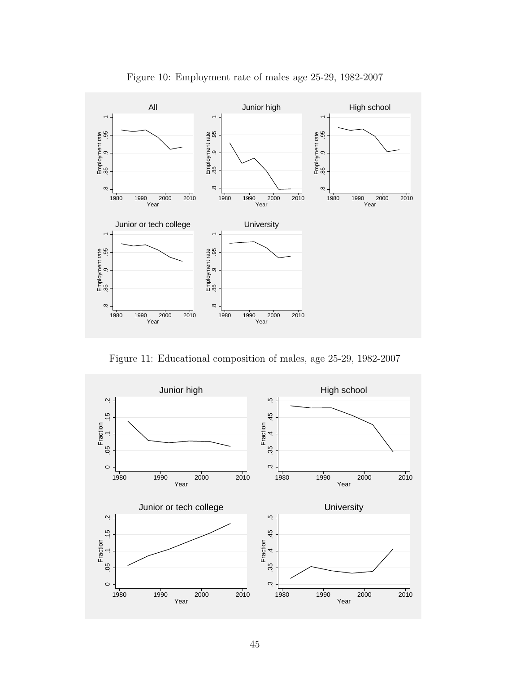

Figure 10: Employment rate of males age 25-29, 1982-2007

Figure 11: Educational composition of males, age 25-29, 1982-2007

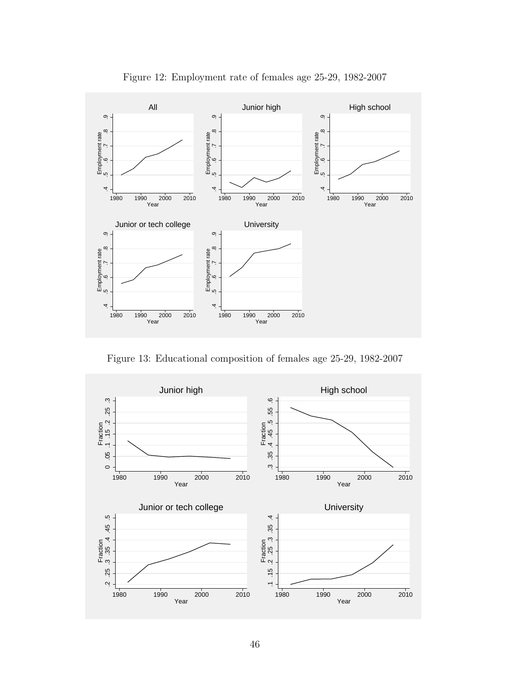

Figure 12: Employment rate of females age 25-29, 1982-2007

Figure 13: Educational composition of females age 25-29, 1982-2007

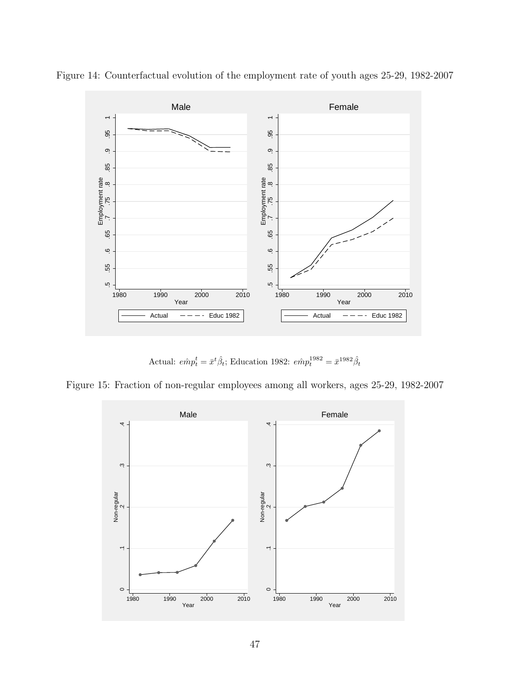

Figure 14: Counterfactual evolution of the employment rate of youth ages 25-29, 1982-2007

Actual:  $e\hat{m}p_t^t = \bar{x}^t\hat{\beta}_t$ ; Education 1982:  $e\hat{m}p_t^{1982} = \bar{x}^{1982}\hat{\beta}_t$ 



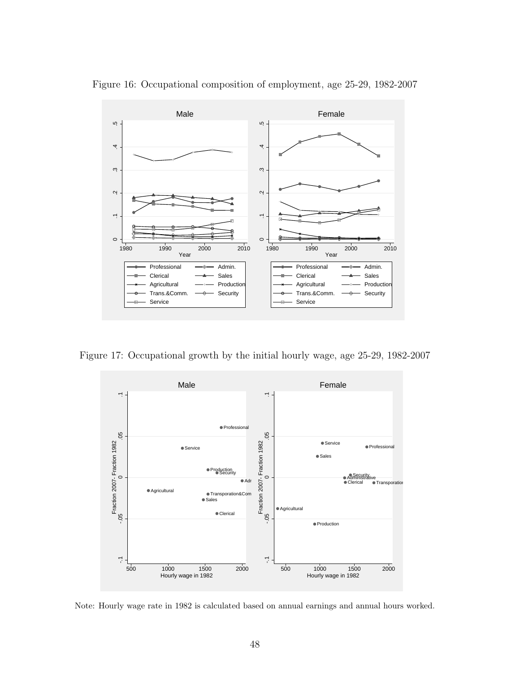

Figure 16: Occupational composition of employment, age 25-29, 1982-2007

Figure 17: Occupational growth by the initial hourly wage, age 25-29, 1982-2007



Note: Hourly wage rate in 1982 is calculated based on annual earnings and annual hours worked.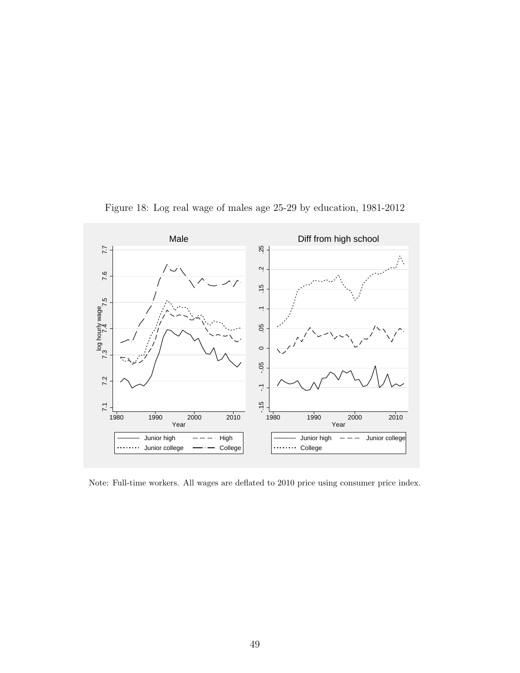

Figure 18: Log real wage of males age 25-29 by education, 1981-2012

Note: Full-time workers. All wages are deflated to 2010 price using consumer price index.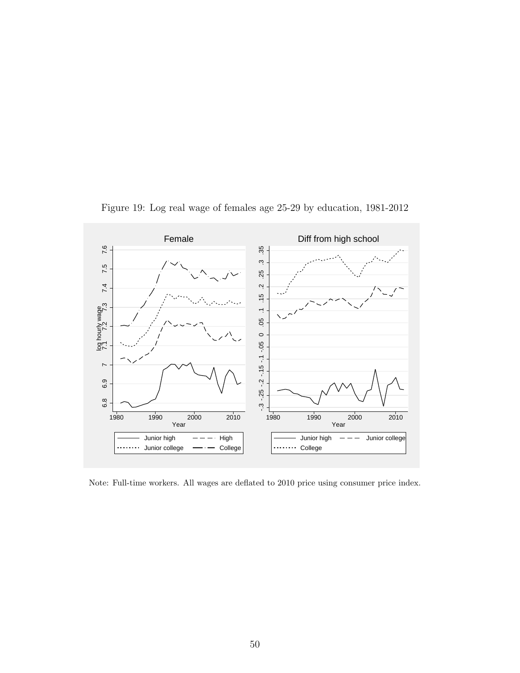

Figure 19: Log real wage of females age 25-29 by education, 1981-2012

Note: Full-time workers. All wages are deflated to 2010 price using consumer price index.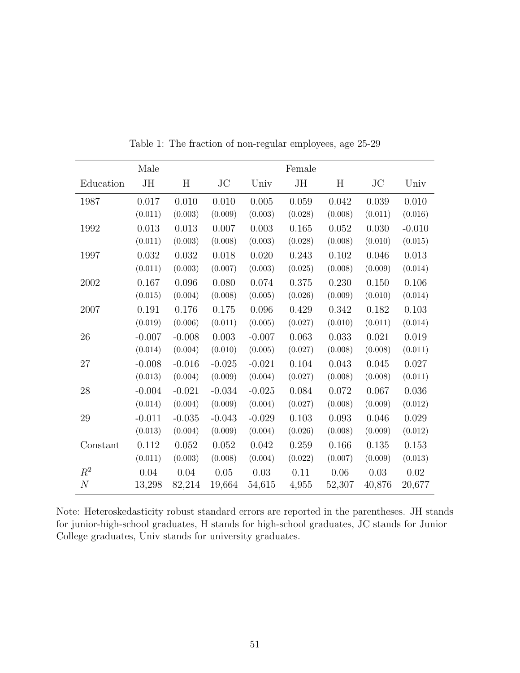|                | Male     |          |          |          | Female  |          |          |          |
|----------------|----------|----------|----------|----------|---------|----------|----------|----------|
| Education      | JH       | Η        | $\rm JC$ | Univ     | JH      | Η        | $\rm JC$ | Univ     |
| 1987           | 0.017    | 0.010    | 0.010    | 0.005    | 0.059   | 0.042    | 0.039    | 0.010    |
|                | (0.011)  | (0.003)  | (0.009)  | (0.003)  | (0.028) | (0.008)  | (0.011)  | (0.016)  |
| 1992           | 0.013    | 0.013    | 0.007    | 0.003    | 0.165   | 0.052    | 0.030    | $-0.010$ |
|                | (0.011)  | (0.003)  | (0.008)  | (0.003)  | (0.028) | (0.008)  | (0.010)  | (0.015)  |
| 1997           | 0.032    | 0.032    | 0.018    | 0.020    | 0.243   | 0.102    | 0.046    | 0.013    |
|                | (0.011)  | (0.003)  | (0.007)  | (0.003)  | (0.025) | (0.008)  | (0.009)  | (0.014)  |
| 2002           | 0.167    | 0.096    | 0.080    | 0.074    | 0.375   | 0.230    | 0.150    | 0.106    |
|                | (0.015)  | (0.004)  | (0.008)  | (0.005)  | (0.026) | (0.009)  | (0.010)  | (0.014)  |
| 2007           | 0.191    | 0.176    | 0.175    | 0.096    | 0.429   | 0.342    | 0.182    | 0.103    |
|                | (0.019)  | (0.006)  | (0.011)  | (0.005)  | (0.027) | (0.010)  | (0.011)  | (0.014)  |
| 26             | $-0.007$ | $-0.008$ | 0.003    | $-0.007$ | 0.063   | 0.033    | 0.021    | 0.019    |
|                | (0.014)  | (0.004)  | (0.010)  | (0.005)  | (0.027) | (0.008)  | (0.008)  | (0.011)  |
| 27             | $-0.008$ | $-0.016$ | $-0.025$ | $-0.021$ | 0.104   | 0.043    | 0.045    | 0.027    |
|                | (0.013)  | (0.004)  | (0.009)  | (0.004)  | (0.027) | (0.008)  | (0.008)  | (0.011)  |
| 28             | $-0.004$ | $-0.021$ | $-0.034$ | $-0.025$ | 0.084   | 0.072    | 0.067    | 0.036    |
|                | (0.014)  | (0.004)  | (0.009)  | (0.004)  | (0.027) | (0.008)  | (0.009)  | (0.012)  |
| 29             | $-0.011$ | $-0.035$ | $-0.043$ | $-0.029$ | 0.103   | 0.093    | 0.046    | 0.029    |
|                | (0.013)  | (0.004)  | (0.009)  | (0.004)  | (0.026) | (0.008)  | (0.009)  | (0.012)  |
| Constant       | 0.112    | 0.052    | 0.052    | 0.042    | 0.259   | 0.166    | 0.135    | 0.153    |
|                | (0.011)  | (0.003)  | (0.008)  | (0.004)  | (0.022) | (0.007)  | (0.009)  | (0.013)  |
| $R^2$          | $0.04\,$ | $0.04\,$ | $0.05\,$ | 0.03     | 0.11    | $0.06\,$ | 0.03     | 0.02     |
| $\overline{N}$ | 13,298   | 82,214   | 19,664   | 54,615   | 4,955   | 52,307   | 40,876   | 20,677   |

Table 1: The fraction of non-regular employees, age 25-29

Note: Heteroskedasticity robust standard errors are reported in the parentheses. JH stands for junior-high-school graduates, H stands for high-school graduates, JC stands for Junior College graduates, Univ stands for university graduates.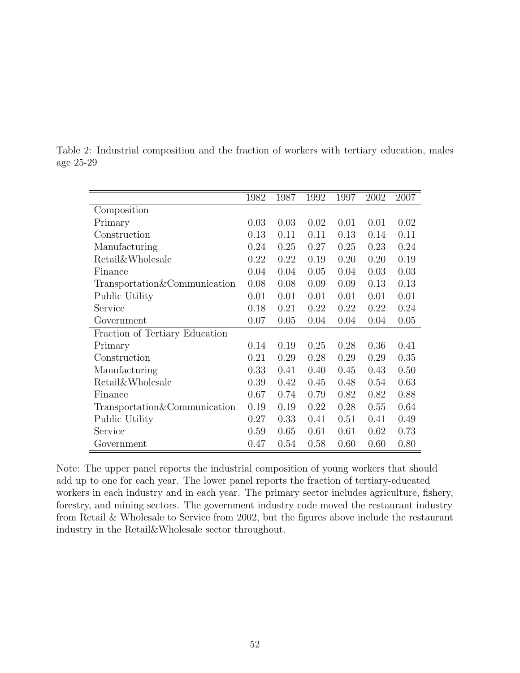|                                | 1982 | 1987 | 1992 | 1997 | 2002 | 2007 |
|--------------------------------|------|------|------|------|------|------|
| Composition                    |      |      |      |      |      |      |
| Primary                        | 0.03 | 0.03 | 0.02 | 0.01 | 0.01 | 0.02 |
| Construction                   | 0.13 | 0.11 | 0.11 | 0.13 | 0.14 | 0.11 |
| Manufacturing                  | 0.24 | 0.25 | 0.27 | 0.25 | 0.23 | 0.24 |
| <b>Retail</b> &Wholesale       | 0.22 | 0.22 | 0.19 | 0.20 | 0.20 | 0.19 |
| Finance                        | 0.04 | 0.04 | 0.05 | 0.04 | 0.03 | 0.03 |
| Transportation&Communication   | 0.08 | 0.08 | 0.09 | 0.09 | 0.13 | 0.13 |
| Public Utility                 | 0.01 | 0.01 | 0.01 | 0.01 | 0.01 | 0.01 |
| Service                        | 0.18 | 0.21 | 0.22 | 0.22 | 0.22 | 0.24 |
| Government                     | 0.07 | 0.05 | 0.04 | 0.04 | 0.04 | 0.05 |
| Fraction of Tertiary Education |      |      |      |      |      |      |
| Primary                        | 0.14 | 0.19 | 0.25 | 0.28 | 0.36 | 0.41 |
| Construction                   | 0.21 | 0.29 | 0.28 | 0.29 | 0.29 | 0.35 |
| Manufacturing                  | 0.33 | 0.41 | 0.40 | 0.45 | 0.43 | 0.50 |
| Retail&Wholesale               | 0.39 | 0.42 | 0.45 | 0.48 | 0.54 | 0.63 |
| Finance                        | 0.67 | 0.74 | 0.79 | 0.82 | 0.82 | 0.88 |
| Transportation&Communication   | 0.19 | 0.19 | 0.22 | 0.28 | 0.55 | 0.64 |
| Public Utility                 | 0.27 | 0.33 | 0.41 | 0.51 | 0.41 | 0.49 |
| Service                        | 0.59 | 0.65 | 0.61 | 0.61 | 0.62 | 0.73 |
| Government                     | 0.47 | 0.54 | 0.58 | 0.60 | 0.60 | 0.80 |

Table 2: Industrial composition and the fraction of workers with tertiary education, males age 25-29

Note: The upper panel reports the industrial composition of young workers that should add up to one for each year. The lower panel reports the fraction of tertiary-educated workers in each industry and in each year. The primary sector includes agriculture, fishery, forestry, and mining sectors. The government industry code moved the restaurant industry from Retail & Wholesale to Service from 2002, but the figures above include the restaurant industry in the Retail&Wholesale sector throughout.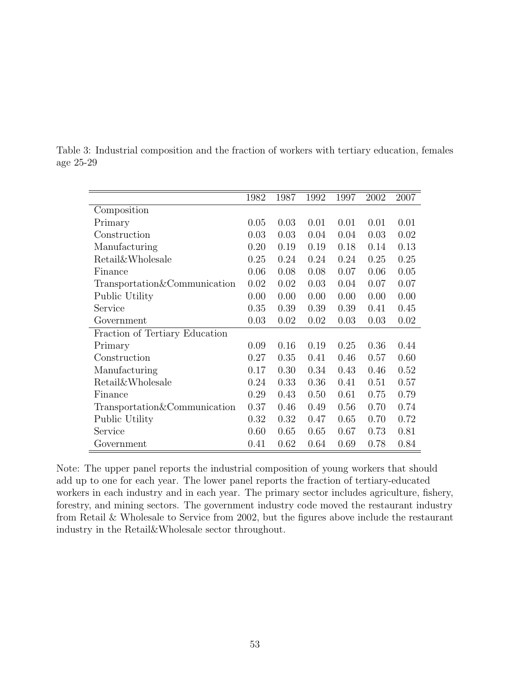|                                | 1982 | 1987 | 1992 | 1997 | 2002 | 2007 |
|--------------------------------|------|------|------|------|------|------|
| Composition                    |      |      |      |      |      |      |
| Primary                        | 0.05 | 0.03 | 0.01 | 0.01 | 0.01 | 0.01 |
| Construction                   | 0.03 | 0.03 | 0.04 | 0.04 | 0.03 | 0.02 |
| Manufacturing                  | 0.20 | 0.19 | 0.19 | 0.18 | 0.14 | 0.13 |
| <b>Retail</b> &Wholesale       | 0.25 | 0.24 | 0.24 | 0.24 | 0.25 | 0.25 |
| Finance                        | 0.06 | 0.08 | 0.08 | 0.07 | 0.06 | 0.05 |
| Transportation&Communication   | 0.02 | 0.02 | 0.03 | 0.04 | 0.07 | 0.07 |
| Public Utility                 | 0.00 | 0.00 | 0.00 | 0.00 | 0.00 | 0.00 |
| Service                        | 0.35 | 0.39 | 0.39 | 0.39 | 0.41 | 0.45 |
| Government                     | 0.03 | 0.02 | 0.02 | 0.03 | 0.03 | 0.02 |
| Fraction of Tertiary Education |      |      |      |      |      |      |
| Primary                        | 0.09 | 0.16 | 0.19 | 0.25 | 0.36 | 0.44 |
| Construction                   | 0.27 | 0.35 | 0.41 | 0.46 | 0.57 | 0.60 |
| Manufacturing                  | 0.17 | 0.30 | 0.34 | 0.43 | 0.46 | 0.52 |
| Retail&Wholesale               | 0.24 | 0.33 | 0.36 | 0.41 | 0.51 | 0.57 |
| Finance                        | 0.29 | 0.43 | 0.50 | 0.61 | 0.75 | 0.79 |
| Transportation&Communication   | 0.37 | 0.46 | 0.49 | 0.56 | 0.70 | 0.74 |
| Public Utility                 | 0.32 | 0.32 | 0.47 | 0.65 | 0.70 | 0.72 |
| Service                        | 0.60 | 0.65 | 0.65 | 0.67 | 0.73 | 0.81 |
| Government                     | 0.41 | 0.62 | 0.64 | 0.69 | 0.78 | 0.84 |

Table 3: Industrial composition and the fraction of workers with tertiary education, females age 25-29

Note: The upper panel reports the industrial composition of young workers that should add up to one for each year. The lower panel reports the fraction of tertiary-educated workers in each industry and in each year. The primary sector includes agriculture, fishery, forestry, and mining sectors. The government industry code moved the restaurant industry from Retail & Wholesale to Service from 2002, but the figures above include the restaurant industry in the Retail&Wholesale sector throughout.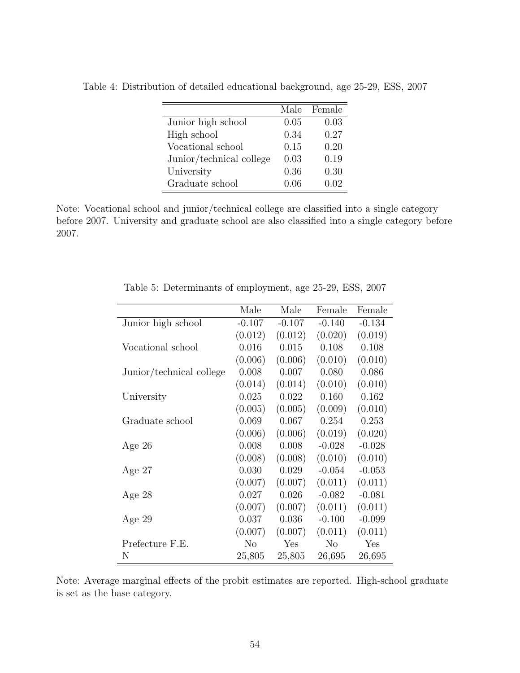|                          |      | Male Female |
|--------------------------|------|-------------|
| Junior high school       | 0.05 | 0.03        |
| High school              | 0.34 | 0.27        |
| Vocational school        | 0.15 | 0.20        |
| Junior/technical college | 0.03 | 0.19        |
| University               | 0.36 | 0.30        |
| Graduate school          | 0.06 | 0.02        |

Table 4: Distribution of detailed educational background, age 25-29, ESS, 2007

Note: Vocational school and junior/technical college are classified into a single category before 2007. University and graduate school are also classified into a single category before 2007.

|                          | Male           | Male      | Female         | Female   |
|--------------------------|----------------|-----------|----------------|----------|
| Junior high school       | $-0.107$       | $-0.107$  | $-0.140$       | $-0.134$ |
|                          | (0.012)        | (0.012)   | (0.020)        | (0.019)  |
| Vocational school        | 0.016          | $0.015\,$ | 0.108          | 0.108    |
|                          | (0.006)        | (0.006)   | (0.010)        | (0.010)  |
| Junior/technical college | 0.008          | 0.007     | 0.080          | 0.086    |
|                          | (0.014)        | (0.014)   | (0.010)        | (0.010)  |
| University               | 0.025          | 0.022     | 0.160          | 0.162    |
|                          | (0.005)        | (0.005)   | (0.009)        | (0.010)  |
| Graduate school          | 0.069          | 0.067     | 0.254          | 0.253    |
|                          | (0.006)        | (0.006)   | (0.019)        | (0.020)  |
| Age 26                   | 0.008          | 0.008     | $-0.028$       | $-0.028$ |
|                          | (0.008)        | (0.008)   | (0.010)        | (0.010)  |
| Age $27$                 | 0.030          | 0.029     | $-0.054$       | $-0.053$ |
|                          | (0.007)        | (0.007)   | (0.011)        | (0.011)  |
| Age 28                   | 0.027          | 0.026     | $-0.082$       | $-0.081$ |
|                          | (0.007)        | (0.007)   | (0.011)        | (0.011)  |
| Age $29$                 | 0.037          | 0.036     | $-0.100$       | $-0.099$ |
|                          | (0.007)        | (0.007)   | (0.011)        | (0.011)  |
| Prefecture F.E.          | N <sub>o</sub> | Yes       | N <sub>o</sub> | Yes      |
| N                        | 25,805         | 25,805    | 26,695         | 26,695   |

Table 5: Determinants of employment, age 25-29, ESS, 2007

Note: Average marginal effects of the probit estimates are reported. High-school graduate is set as the base category.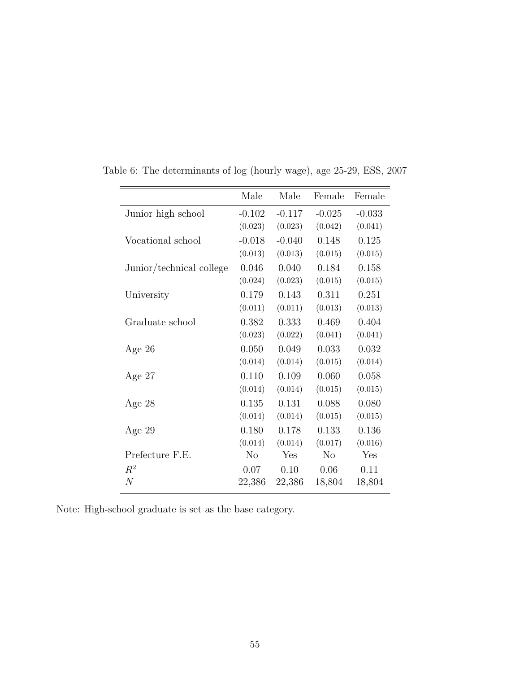|                          | Male     | Male     | Female         | Female   |
|--------------------------|----------|----------|----------------|----------|
| Junior high school       | $-0.102$ | $-0.117$ | $-0.025$       | $-0.033$ |
|                          | (0.023)  | (0.023)  | (0.042)        | (0.041)  |
| Vocational school        | $-0.018$ | $-0.040$ | 0.148          | 0.125    |
|                          | (0.013)  | (0.013)  | (0.015)        | (0.015)  |
| Junior/technical college | 0.046    | 0.040    | 0.184          | 0.158    |
|                          | (0.024)  | (0.023)  | (0.015)        | (0.015)  |
| University               | 0.179    | 0.143    | 0.311          | 0.251    |
|                          | (0.011)  | (0.011)  | (0.013)        | (0.013)  |
| Graduate school          | 0.382    | 0.333    | 0.469          | 0.404    |
|                          | (0.023)  | (0.022)  | (0.041)        | (0.041)  |
| Age $26$                 | 0.050    | 0.049    | 0.033          | 0.032    |
|                          | (0.014)  | (0.014)  | (0.015)        | (0.014)  |
| Age $27$                 | 0.110    | 0.109    | 0.060          | 0.058    |
|                          | (0.014)  | (0.014)  | (0.015)        | (0.015)  |
| Age $28$                 | 0.135    | 0.131    | 0.088          | 0.080    |
|                          | (0.014)  | (0.014)  | (0.015)        | (0.015)  |
| Age $29$                 | 0.180    | 0.178    | 0.133          | 0.136    |
|                          | (0.014)  | (0.014)  | (0.017)        | (0.016)  |
| Prefecture F.E.          | $\rm No$ | Yes      | N <sub>o</sub> | Yes      |
| $R^2$                    | 0.07     | 0.10     | 0.06           | 0.11     |
| $\boldsymbol{N}$         | 22,386   | 22,386   | 18,804         | 18,804   |

Table 6: The determinants of log (hourly wage), age 25-29, ESS, 2007

Note: High-school graduate is set as the base category.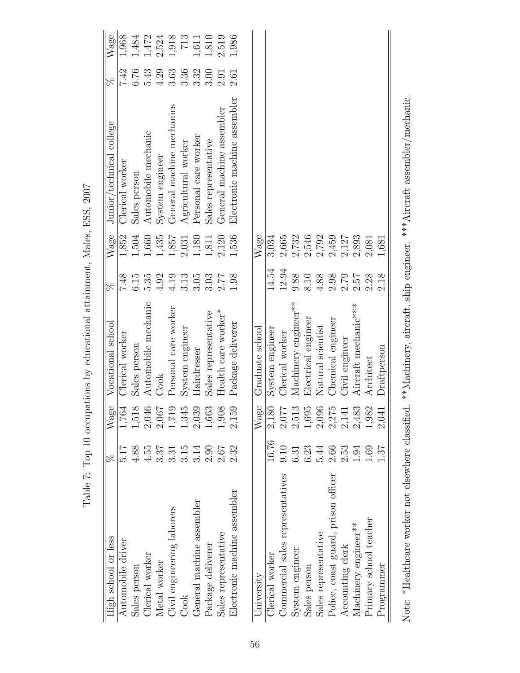| High school or less                                                                                                      | $80^{\circ}$     | Wage   | Vocational school         | $80^{\circ}$ | $\ensuremath{\text{Wage}}$ | Junior/technical college     | $\overline{\%}$ | Wage  |
|--------------------------------------------------------------------------------------------------------------------------|------------------|--------|---------------------------|--------------|----------------------------|------------------------------|-----------------|-------|
| Automobile driver                                                                                                        | 21.q             | 1,764  | Clerical worker           | 7.48         | 1,852                      | Clerical worker              | 7.42            | 1,968 |
| Sales person                                                                                                             | 4.88             | 1,51   | Sales person              | 6.15         | 1,504                      | Sales person                 | 6.76            | 1,484 |
| Clerical worker                                                                                                          | 4.55             | 2,04   | Automobile mechanic       | 5.35         | 1,660                      | Automobile mechanic          | 5.43            | 1,472 |
| Metal worker                                                                                                             | 3.37             | 2,06'' | Cook                      | 4.92         | 1,435                      | System engineer              | 4.29            | 2,524 |
| Civil engineering laborers                                                                                               | $3.\overline{3}$ | 1,719  | Personal care worker      | 4.19         | 1,857                      | General machine mechanics    | 3.63            | 1,918 |
| Cook                                                                                                                     | 3.15             | 1,34.  | System engineer           | 3.13         | 2,031                      | $\rm Agricultural$ worker    | 3.36            | 713   |
| General machine assembler                                                                                                | 3.14             | 2,03   | Hairdresser               | 3.05         | 1,180                      | Personal care worker         | 3.32            | 1,611 |
| Package deliverer                                                                                                        | 2.90             | 1,663  | Sales representative      | 3.03         | 1,811                      | Sales representative         | 3.00            | 1,810 |
| Sales representative                                                                                                     | $2.67$           | 1,908  | $\rm Health$ care worker* | 2.77         | 2,120                      | General machine assembler    | 2.91            | 2,519 |
| Electronic machine assembler                                                                                             | 2.32             | 2,159  | Package deliverer         | 1.98         | 1,536                      | Electronic machine assembler | 2.61            | 1,986 |
|                                                                                                                          |                  |        |                           |              |                            |                              |                 |       |
| University                                                                                                               |                  | Wage   | Graduate school           |              | Wage                       |                              |                 |       |
| Clerical worker                                                                                                          | 16.76            | 2,180  | System engineer           | 14.54        | 3,034                      |                              |                 |       |
| Commercial sales representatives                                                                                         | 0.10             | 2,077  | Clerical worker           | 12.94        | 2,665                      |                              |                 |       |
| System engineer                                                                                                          | 6.31             | 2,513  | Machinery engineer**      | 9.88         | 2,732                      |                              |                 |       |
| Sales person                                                                                                             | 6.23             | 1,69   | Electrical engineer       | 8.10         | 2,546                      |                              |                 |       |
| Sales representative                                                                                                     | 5.44             | 2,090  | Natural scientist         | 4.88         | 2,792                      |                              |                 |       |
| Police, coast guard, prison officer                                                                                      | 2.66             | 2,27   | Chemical engineer         | 2.98         | 2,459                      |                              |                 |       |
| Accounting clerk                                                                                                         | 2.53             | 2,14   | Civil engineer            | 2.79         | 2,127                      |                              |                 |       |
| Machinery engineer**                                                                                                     | 1.94             | 2,483  | Aircraft mechanic***      | 2.57         | 2,893                      |                              |                 |       |
| Primary school teacher                                                                                                   | 1.69             | 1,982  | Architect                 | 2.28         | 2,081                      |                              |                 |       |
| Programmer                                                                                                               | 57               | 2,04   | Draftperson               | 2.18         | 1,681                      |                              |                 |       |
| Note: *Healthcare worker not elsewhere classified. **Machinery, aircraft, ship engineer. ***Aircraft assembler/mechanic. |                  |        |                           |              |                            |                              |                 |       |

Table 7: Top 10 occupations by educational attainment, Males, ESS, 2007 Table 7: Top 10 occupations by educational attainment, Males, ESS, 2007